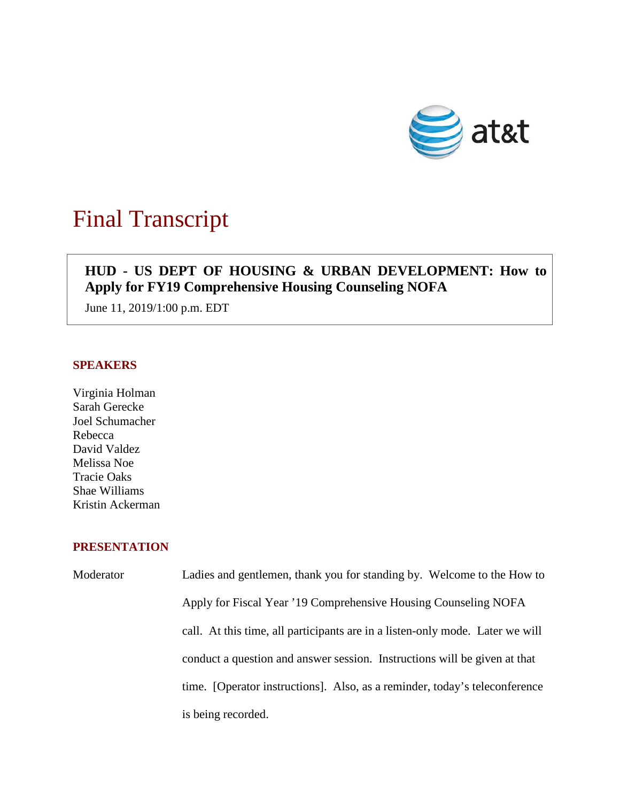

# Final Transcript

## **HUD - US DEPT OF HOUSING & URBAN DEVELOPMENT: How to Apply for FY19 Comprehensive Housing Counseling NOFA**

June 11, 2019/1:00 p.m. EDT

#### **SPEAKERS**

Virginia Holman Sarah Gerecke Joel Schumacher Rebecca David Valdez Melissa Noe Tracie Oaks Shae Williams Kristin Ackerman

### **PRESENTATION**

Moderator Ladies and gentlemen, thank you for standing by. Welcome to the How to Apply for Fiscal Year '19 Comprehensive Housing Counseling NOFA call. At this time, all participants are in a listen-only mode. Later we will conduct a question and answer session. Instructions will be given at that time. [Operator instructions]. Also, as a reminder, today's teleconference is being recorded.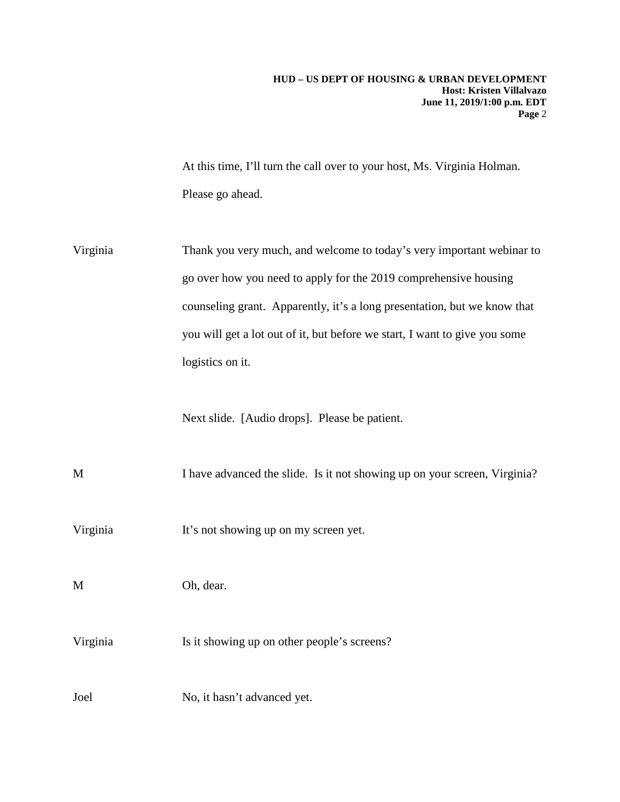#### **HUD – US DEPT OF HOUSING & URBAN DEVELOPMENT Host: Kristen Villalvazo June 11, 2019/1:00 p.m. EDT Page** 2

At this time, I'll turn the call over to your host, Ms. Virginia Holman. Please go ahead.

Virginia Thank you very much, and welcome to today's very important webinar to go over how you need to apply for the 2019 comprehensive housing counseling grant. Apparently, it's a long presentation, but we know that you will get a lot out of it, but before we start, I want to give you some logistics on it.

Next slide. [Audio drops]. Please be patient.

M I have advanced the slide. Is it not showing up on your screen, Virginia?

Virginia It's not showing up on my screen yet.

M Oh, dear.

Virginia Is it showing up on other people's screens?

Joel No, it hasn't advanced yet.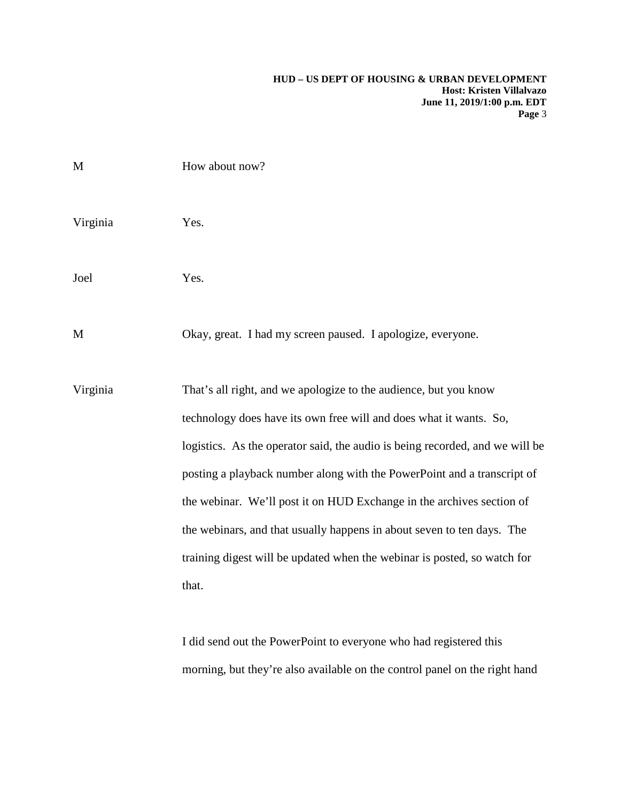| M        | How about now?                                                                                                                                                                                                                                                                                                                                                                                                                                                                                                                            |
|----------|-------------------------------------------------------------------------------------------------------------------------------------------------------------------------------------------------------------------------------------------------------------------------------------------------------------------------------------------------------------------------------------------------------------------------------------------------------------------------------------------------------------------------------------------|
| Virginia | Yes.                                                                                                                                                                                                                                                                                                                                                                                                                                                                                                                                      |
| Joel     | Yes.                                                                                                                                                                                                                                                                                                                                                                                                                                                                                                                                      |
| M        | Okay, great. I had my screen paused. I apologize, everyone.                                                                                                                                                                                                                                                                                                                                                                                                                                                                               |
| Virginia | That's all right, and we apologize to the audience, but you know<br>technology does have its own free will and does what it wants. So,<br>logistics. As the operator said, the audio is being recorded, and we will be<br>posting a playback number along with the PowerPoint and a transcript of<br>the webinar. We'll post it on HUD Exchange in the archives section of<br>the webinars, and that usually happens in about seven to ten days. The<br>training digest will be updated when the webinar is posted, so watch for<br>that. |
|          | I did send out the PowerPoint to everyone who had registered this                                                                                                                                                                                                                                                                                                                                                                                                                                                                         |

morning, but they're also available on the control panel on the right hand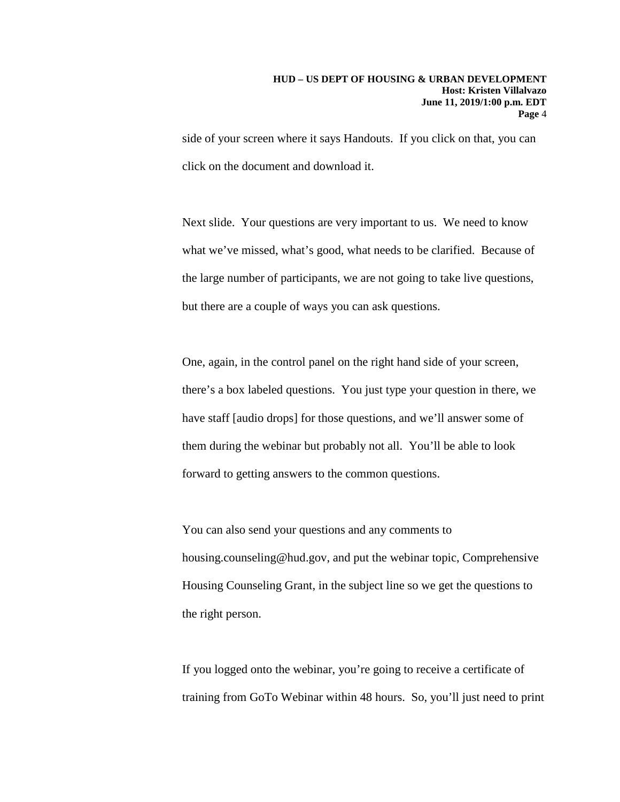side of your screen where it says Handouts. If you click on that, you can click on the document and download it.

Next slide. Your questions are very important to us. We need to know what we've missed, what's good, what needs to be clarified. Because of the large number of participants, we are not going to take live questions, but there are a couple of ways you can ask questions.

One, again, in the control panel on the right hand side of your screen, there's a box labeled questions. You just type your question in there, we have staff [audio drops] for those questions, and we'll answer some of them during the webinar but probably not all. You'll be able to look forward to getting answers to the common questions.

You can also send your questions and any comments to housing.counseling@hud.gov, and put the webinar topic, Comprehensive Housing Counseling Grant, in the subject line so we get the questions to the right person.

If you logged onto the webinar, you're going to receive a certificate of training from GoTo Webinar within 48 hours. So, you'll just need to print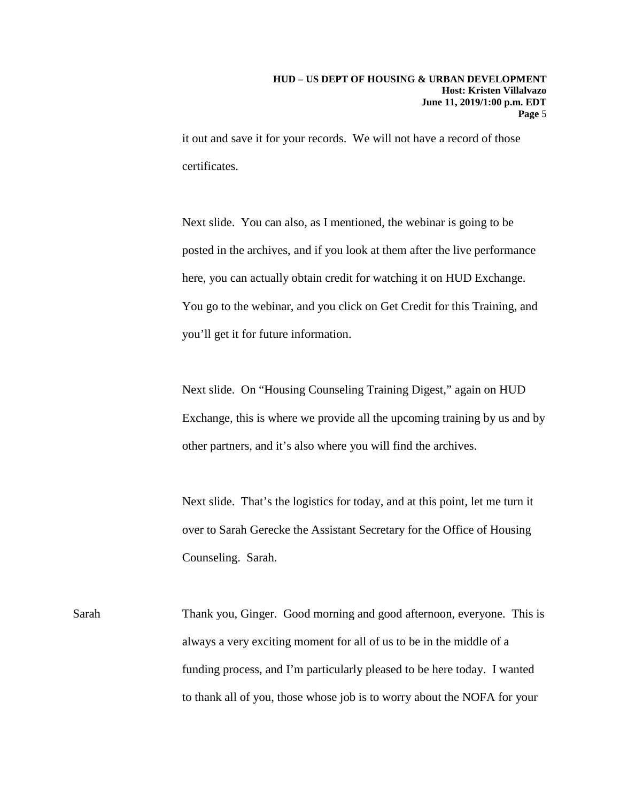it out and save it for your records. We will not have a record of those certificates.

Next slide. You can also, as I mentioned, the webinar is going to be posted in the archives, and if you look at them after the live performance here, you can actually obtain credit for watching it on HUD Exchange. You go to the webinar, and you click on Get Credit for this Training, and you'll get it for future information.

Next slide. On "Housing Counseling Training Digest," again on HUD Exchange, this is where we provide all the upcoming training by us and by other partners, and it's also where you will find the archives.

Next slide. That's the logistics for today, and at this point, let me turn it over to Sarah Gerecke the Assistant Secretary for the Office of Housing Counseling. Sarah.

Sarah Thank you, Ginger. Good morning and good afternoon, everyone. This is always a very exciting moment for all of us to be in the middle of a funding process, and I'm particularly pleased to be here today. I wanted to thank all of you, those whose job is to worry about the NOFA for your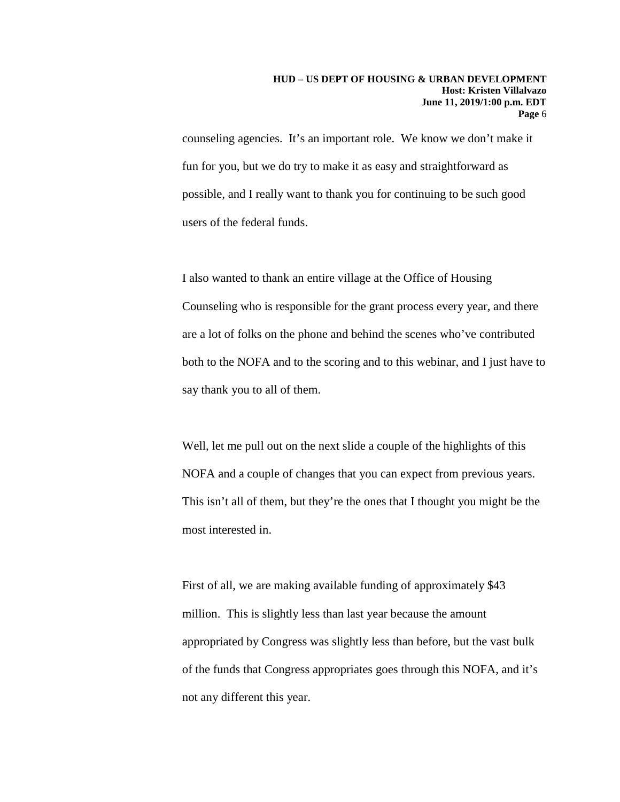counseling agencies. It's an important role. We know we don't make it fun for you, but we do try to make it as easy and straightforward as possible, and I really want to thank you for continuing to be such good users of the federal funds.

I also wanted to thank an entire village at the Office of Housing Counseling who is responsible for the grant process every year, and there are a lot of folks on the phone and behind the scenes who've contributed both to the NOFA and to the scoring and to this webinar, and I just have to say thank you to all of them.

Well, let me pull out on the next slide a couple of the highlights of this NOFA and a couple of changes that you can expect from previous years. This isn't all of them, but they're the ones that I thought you might be the most interested in.

First of all, we are making available funding of approximately \$43 million. This is slightly less than last year because the amount appropriated by Congress was slightly less than before, but the vast bulk of the funds that Congress appropriates goes through this NOFA, and it's not any different this year.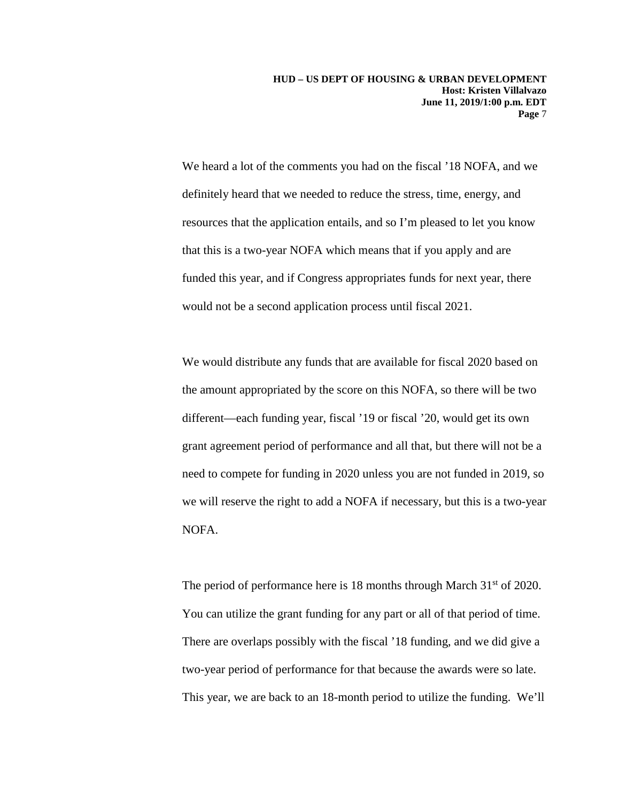We heard a lot of the comments you had on the fiscal '18 NOFA, and we definitely heard that we needed to reduce the stress, time, energy, and resources that the application entails, and so I'm pleased to let you know that this is a two-year NOFA which means that if you apply and are funded this year, and if Congress appropriates funds for next year, there would not be a second application process until fiscal 2021.

We would distribute any funds that are available for fiscal 2020 based on the amount appropriated by the score on this NOFA, so there will be two different—each funding year, fiscal '19 or fiscal '20, would get its own grant agreement period of performance and all that, but there will not be a need to compete for funding in 2020 unless you are not funded in 2019, so we will reserve the right to add a NOFA if necessary, but this is a two-year NOFA.

The period of performance here is 18 months through March  $31<sup>st</sup>$  of 2020. You can utilize the grant funding for any part or all of that period of time. There are overlaps possibly with the fiscal '18 funding, and we did give a two-year period of performance for that because the awards were so late. This year, we are back to an 18-month period to utilize the funding. We'll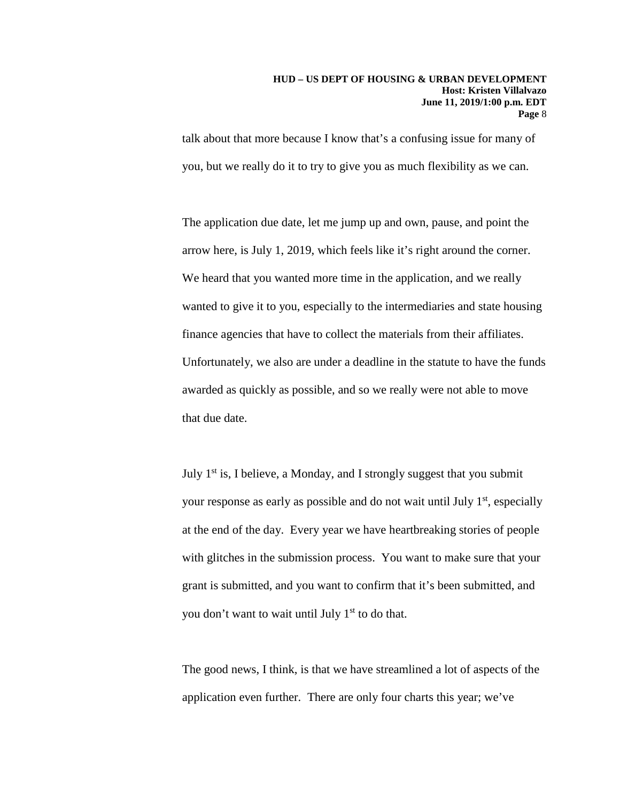#### **HUD – US DEPT OF HOUSING & URBAN DEVELOPMENT Host: Kristen Villalvazo June 11, 2019/1:00 p.m. EDT Page** 8

talk about that more because I know that's a confusing issue for many of you, but we really do it to try to give you as much flexibility as we can.

The application due date, let me jump up and own, pause, and point the arrow here, is July 1, 2019, which feels like it's right around the corner. We heard that you wanted more time in the application, and we really wanted to give it to you, especially to the intermediaries and state housing finance agencies that have to collect the materials from their affiliates. Unfortunately, we also are under a deadline in the statute to have the funds awarded as quickly as possible, and so we really were not able to move that due date.

July  $1<sup>st</sup>$  is, I believe, a Monday, and I strongly suggest that you submit your response as early as possible and do not wait until July  $1<sup>st</sup>$ , especially at the end of the day. Every year we have heartbreaking stories of people with glitches in the submission process. You want to make sure that your grant is submitted, and you want to confirm that it's been submitted, and you don't want to wait until July 1<sup>st</sup> to do that.

The good news, I think, is that we have streamlined a lot of aspects of the application even further. There are only four charts this year; we've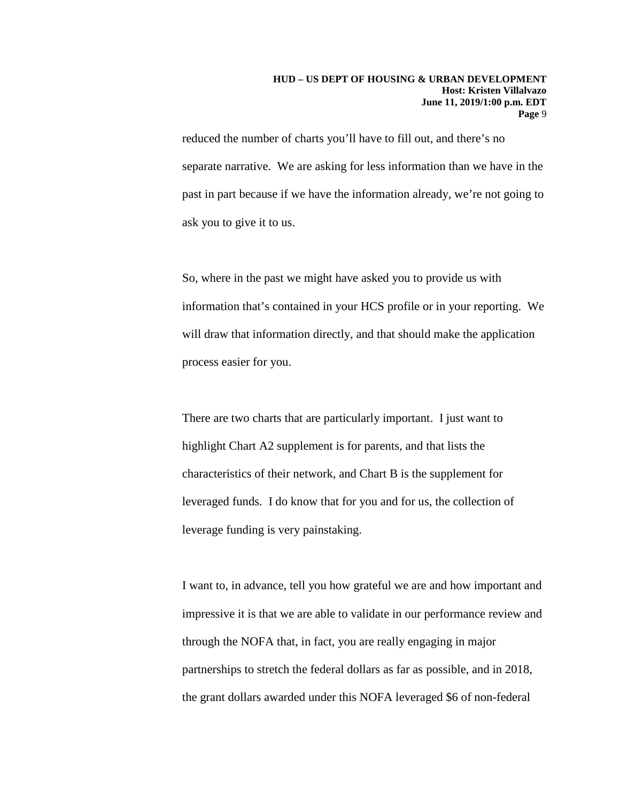reduced the number of charts you'll have to fill out, and there's no separate narrative. We are asking for less information than we have in the past in part because if we have the information already, we're not going to ask you to give it to us.

So, where in the past we might have asked you to provide us with information that's contained in your HCS profile or in your reporting. We will draw that information directly, and that should make the application process easier for you.

There are two charts that are particularly important. I just want to highlight Chart A2 supplement is for parents, and that lists the characteristics of their network, and Chart B is the supplement for leveraged funds. I do know that for you and for us, the collection of leverage funding is very painstaking.

I want to, in advance, tell you how grateful we are and how important and impressive it is that we are able to validate in our performance review and through the NOFA that, in fact, you are really engaging in major partnerships to stretch the federal dollars as far as possible, and in 2018, the grant dollars awarded under this NOFA leveraged \$6 of non-federal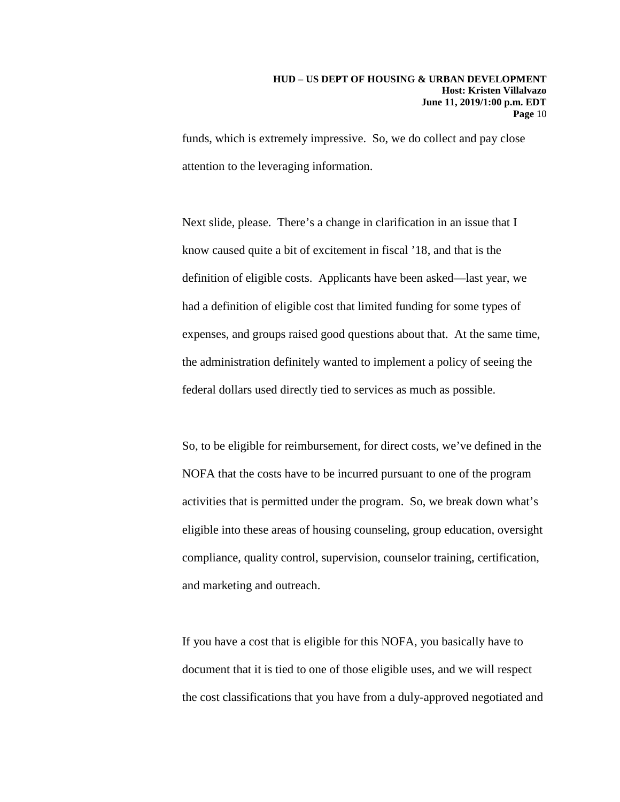funds, which is extremely impressive. So, we do collect and pay close attention to the leveraging information.

Next slide, please. There's a change in clarification in an issue that I know caused quite a bit of excitement in fiscal '18, and that is the definition of eligible costs. Applicants have been asked—last year, we had a definition of eligible cost that limited funding for some types of expenses, and groups raised good questions about that. At the same time, the administration definitely wanted to implement a policy of seeing the federal dollars used directly tied to services as much as possible.

So, to be eligible for reimbursement, for direct costs, we've defined in the NOFA that the costs have to be incurred pursuant to one of the program activities that is permitted under the program. So, we break down what's eligible into these areas of housing counseling, group education, oversight compliance, quality control, supervision, counselor training, certification, and marketing and outreach.

If you have a cost that is eligible for this NOFA, you basically have to document that it is tied to one of those eligible uses, and we will respect the cost classifications that you have from a duly-approved negotiated and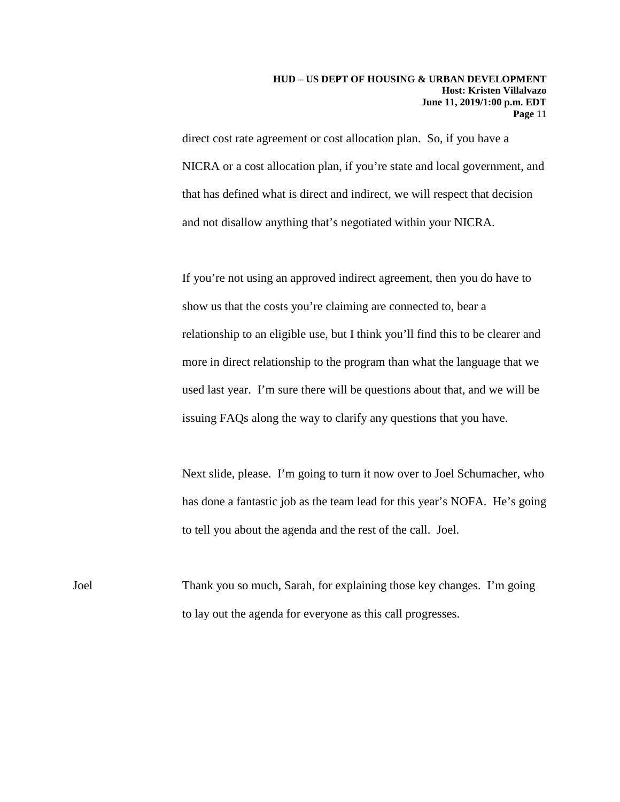#### **HUD – US DEPT OF HOUSING & URBAN DEVELOPMENT Host: Kristen Villalvazo June 11, 2019/1:00 p.m. EDT Page** 11

direct cost rate agreement or cost allocation plan. So, if you have a NICRA or a cost allocation plan, if you're state and local government, and that has defined what is direct and indirect, we will respect that decision and not disallow anything that's negotiated within your NICRA.

If you're not using an approved indirect agreement, then you do have to show us that the costs you're claiming are connected to, bear a relationship to an eligible use, but I think you'll find this to be clearer and more in direct relationship to the program than what the language that we used last year. I'm sure there will be questions about that, and we will be issuing FAQs along the way to clarify any questions that you have.

Next slide, please. I'm going to turn it now over to Joel Schumacher, who has done a fantastic job as the team lead for this year's NOFA. He's going to tell you about the agenda and the rest of the call. Joel.

Joel Thank you so much, Sarah, for explaining those key changes. I'm going to lay out the agenda for everyone as this call progresses.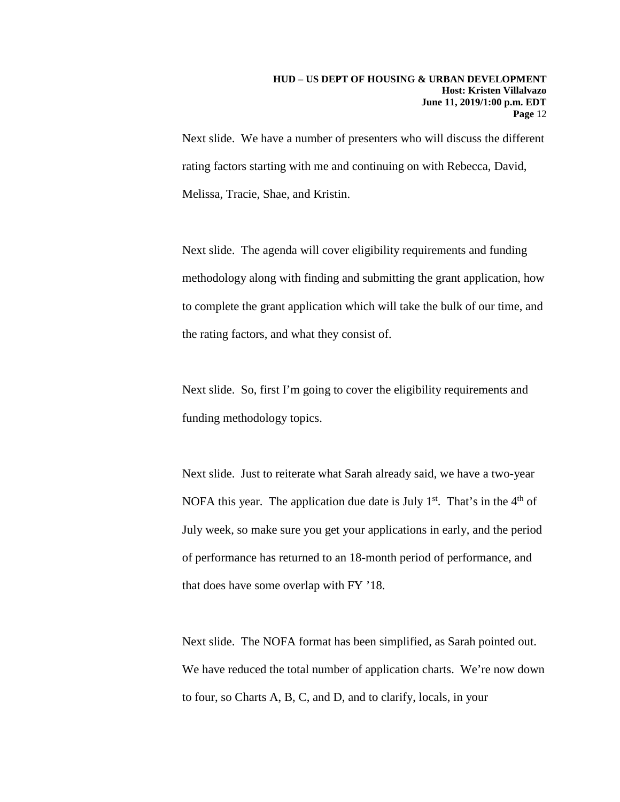Next slide. We have a number of presenters who will discuss the different rating factors starting with me and continuing on with Rebecca, David, Melissa, Tracie, Shae, and Kristin.

Next slide. The agenda will cover eligibility requirements and funding methodology along with finding and submitting the grant application, how to complete the grant application which will take the bulk of our time, and the rating factors, and what they consist of.

Next slide. So, first I'm going to cover the eligibility requirements and funding methodology topics.

Next slide. Just to reiterate what Sarah already said, we have a two-year NOFA this year. The application due date is July  $1<sup>st</sup>$ . That's in the  $4<sup>th</sup>$  of July week, so make sure you get your applications in early, and the period of performance has returned to an 18-month period of performance, and that does have some overlap with FY '18.

Next slide. The NOFA format has been simplified, as Sarah pointed out. We have reduced the total number of application charts. We're now down to four, so Charts A, B, C, and D, and to clarify, locals, in your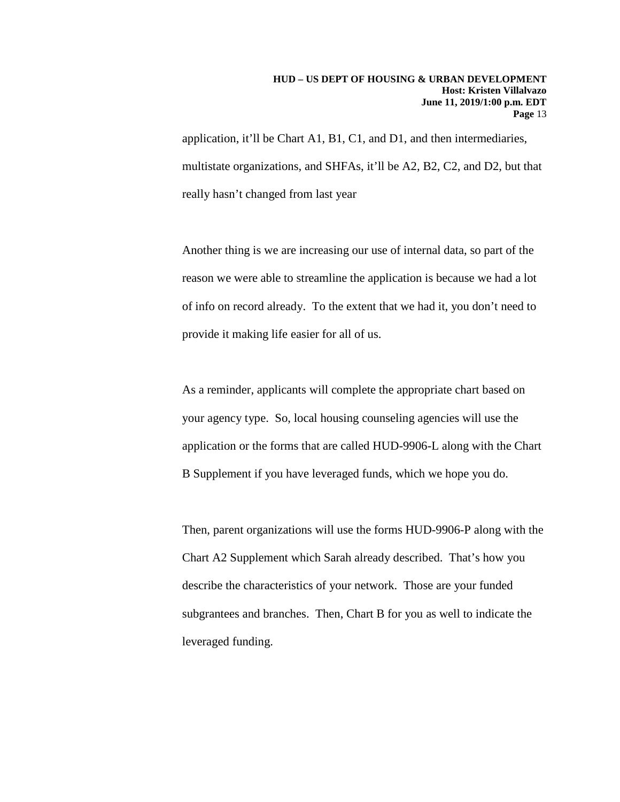application, it'll be Chart A1, B1, C1, and D1, and then intermediaries, multistate organizations, and SHFAs, it'll be A2, B2, C2, and D2, but that really hasn't changed from last year

Another thing is we are increasing our use of internal data, so part of the reason we were able to streamline the application is because we had a lot of info on record already. To the extent that we had it, you don't need to provide it making life easier for all of us.

As a reminder, applicants will complete the appropriate chart based on your agency type. So, local housing counseling agencies will use the application or the forms that are called HUD-9906-L along with the Chart B Supplement if you have leveraged funds, which we hope you do.

Then, parent organizations will use the forms HUD-9906-P along with the Chart A2 Supplement which Sarah already described. That's how you describe the characteristics of your network. Those are your funded subgrantees and branches. Then, Chart B for you as well to indicate the leveraged funding.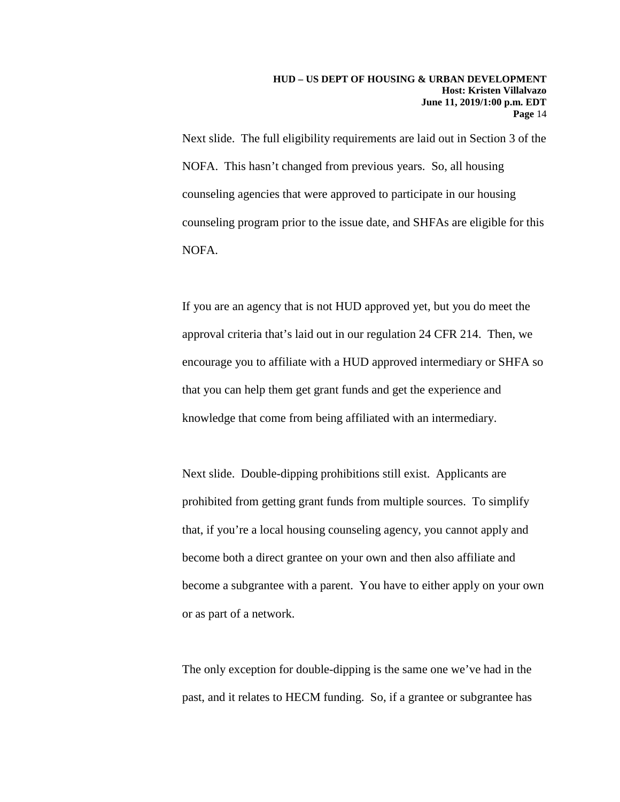Next slide. The full eligibility requirements are laid out in Section 3 of the NOFA. This hasn't changed from previous years. So, all housing counseling agencies that were approved to participate in our housing counseling program prior to the issue date, and SHFAs are eligible for this NOFA.

If you are an agency that is not HUD approved yet, but you do meet the approval criteria that's laid out in our regulation 24 CFR 214. Then, we encourage you to affiliate with a HUD approved intermediary or SHFA so that you can help them get grant funds and get the experience and knowledge that come from being affiliated with an intermediary.

Next slide. Double-dipping prohibitions still exist. Applicants are prohibited from getting grant funds from multiple sources. To simplify that, if you're a local housing counseling agency, you cannot apply and become both a direct grantee on your own and then also affiliate and become a subgrantee with a parent. You have to either apply on your own or as part of a network.

The only exception for double-dipping is the same one we've had in the past, and it relates to HECM funding. So, if a grantee or subgrantee has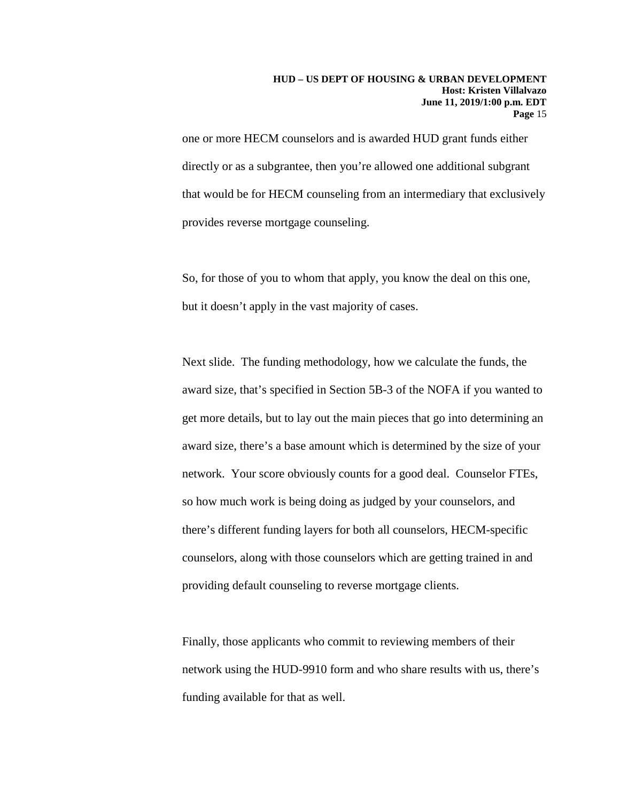one or more HECM counselors and is awarded HUD grant funds either directly or as a subgrantee, then you're allowed one additional subgrant that would be for HECM counseling from an intermediary that exclusively provides reverse mortgage counseling.

So, for those of you to whom that apply, you know the deal on this one, but it doesn't apply in the vast majority of cases.

Next slide. The funding methodology, how we calculate the funds, the award size, that's specified in Section 5B-3 of the NOFA if you wanted to get more details, but to lay out the main pieces that go into determining an award size, there's a base amount which is determined by the size of your network. Your score obviously counts for a good deal. Counselor FTEs, so how much work is being doing as judged by your counselors, and there's different funding layers for both all counselors, HECM-specific counselors, along with those counselors which are getting trained in and providing default counseling to reverse mortgage clients.

Finally, those applicants who commit to reviewing members of their network using the HUD-9910 form and who share results with us, there's funding available for that as well.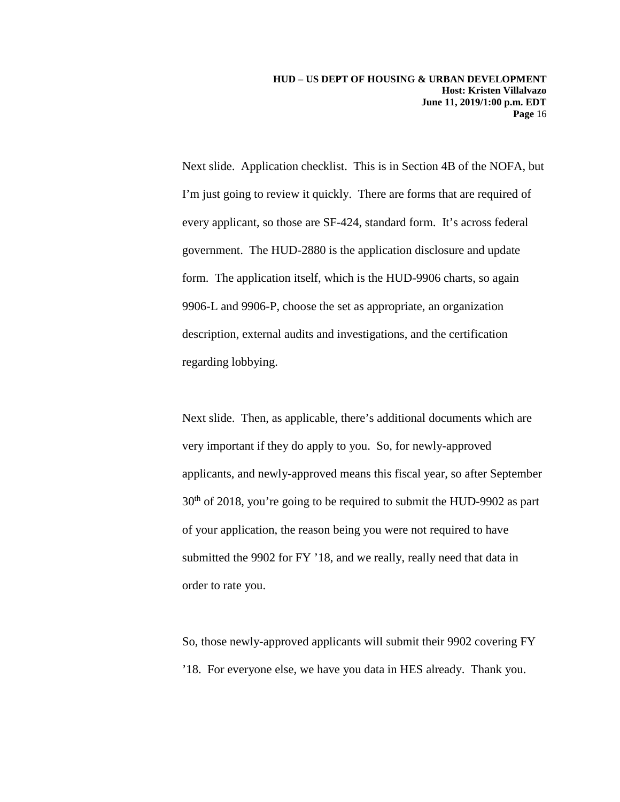Next slide. Application checklist. This is in Section 4B of the NOFA, but I'm just going to review it quickly. There are forms that are required of every applicant, so those are SF-424, standard form. It's across federal government. The HUD-2880 is the application disclosure and update form. The application itself, which is the HUD-9906 charts, so again 9906-L and 9906-P, choose the set as appropriate, an organization description, external audits and investigations, and the certification regarding lobbying.

Next slide. Then, as applicable, there's additional documents which are very important if they do apply to you. So, for newly-approved applicants, and newly-approved means this fiscal year, so after September 30<sup>th</sup> of 2018, you're going to be required to submit the HUD-9902 as part of your application, the reason being you were not required to have submitted the 9902 for FY '18, and we really, really need that data in order to rate you.

So, those newly-approved applicants will submit their 9902 covering FY '18. For everyone else, we have you data in HES already. Thank you.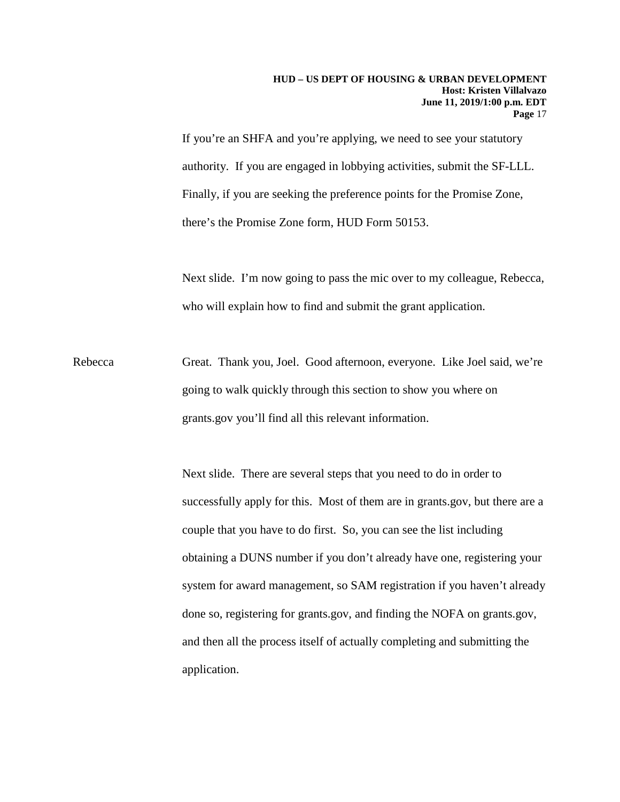If you're an SHFA and you're applying, we need to see your statutory authority. If you are engaged in lobbying activities, submit the SF-LLL. Finally, if you are seeking the preference points for the Promise Zone, there's the Promise Zone form, HUD Form 50153.

Next slide. I'm now going to pass the mic over to my colleague, Rebecca, who will explain how to find and submit the grant application.

Rebecca Great. Thank you, Joel. Good afternoon, everyone. Like Joel said, we're going to walk quickly through this section to show you where on grants.gov you'll find all this relevant information.

> Next slide. There are several steps that you need to do in order to successfully apply for this. Most of them are in grants.gov, but there are a couple that you have to do first. So, you can see the list including obtaining a DUNS number if you don't already have one, registering your system for award management, so SAM registration if you haven't already done so, registering for grants.gov, and finding the NOFA on grants.gov, and then all the process itself of actually completing and submitting the application.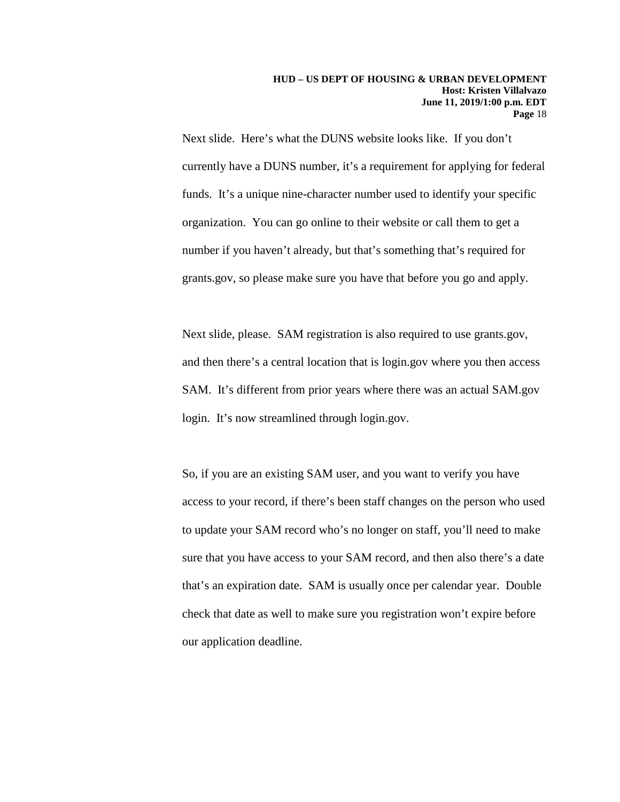Next slide. Here's what the DUNS website looks like. If you don't currently have a DUNS number, it's a requirement for applying for federal funds. It's a unique nine-character number used to identify your specific organization. You can go online to their website or call them to get a number if you haven't already, but that's something that's required for grants.gov, so please make sure you have that before you go and apply.

Next slide, please. SAM registration is also required to use grants.gov, and then there's a central location that is login.gov where you then access SAM. It's different from prior years where there was an actual SAM.gov login. It's now streamlined through login.gov.

So, if you are an existing SAM user, and you want to verify you have access to your record, if there's been staff changes on the person who used to update your SAM record who's no longer on staff, you'll need to make sure that you have access to your SAM record, and then also there's a date that's an expiration date. SAM is usually once per calendar year. Double check that date as well to make sure you registration won't expire before our application deadline.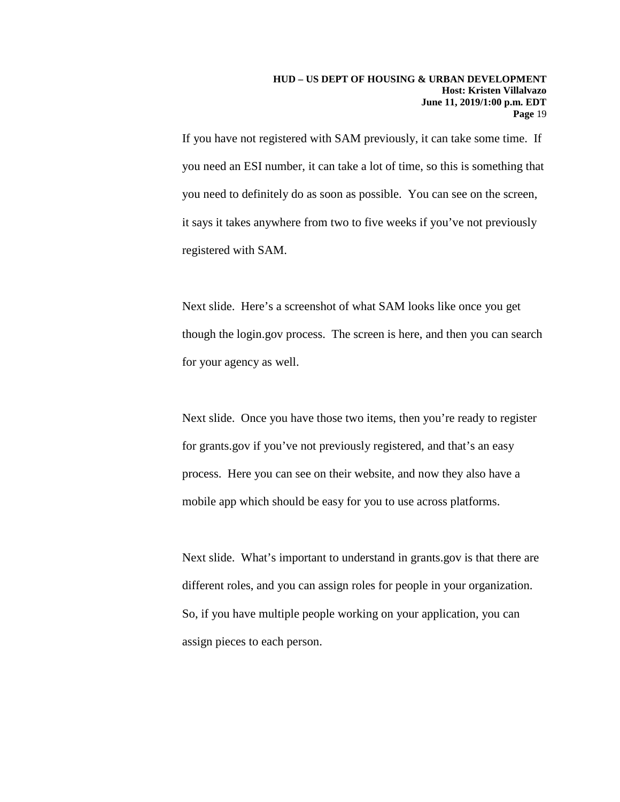If you have not registered with SAM previously, it can take some time. If you need an ESI number, it can take a lot of time, so this is something that you need to definitely do as soon as possible. You can see on the screen, it says it takes anywhere from two to five weeks if you've not previously registered with SAM.

Next slide. Here's a screenshot of what SAM looks like once you get though the login.gov process. The screen is here, and then you can search for your agency as well.

Next slide. Once you have those two items, then you're ready to register for grants.gov if you've not previously registered, and that's an easy process. Here you can see on their website, and now they also have a mobile app which should be easy for you to use across platforms.

Next slide. What's important to understand in grants.gov is that there are different roles, and you can assign roles for people in your organization. So, if you have multiple people working on your application, you can assign pieces to each person.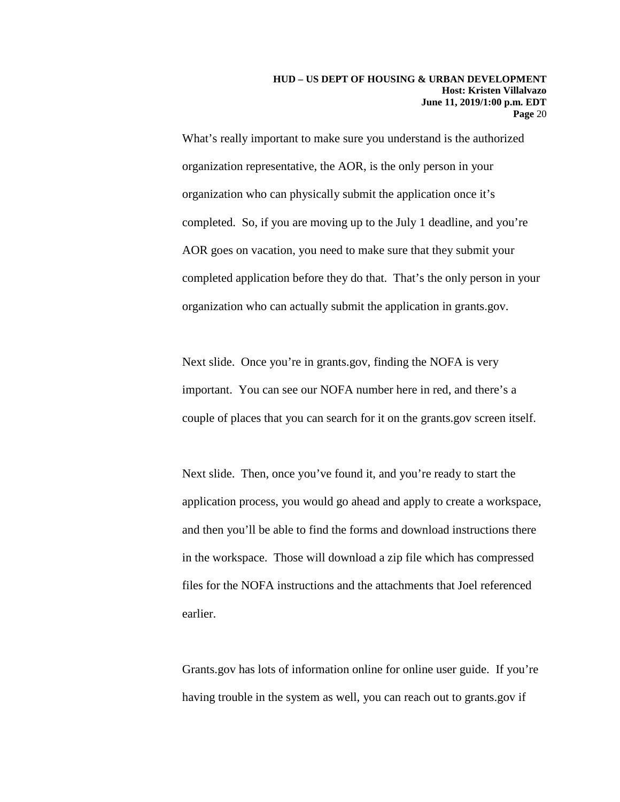What's really important to make sure you understand is the authorized organization representative, the AOR, is the only person in your organization who can physically submit the application once it's completed. So, if you are moving up to the July 1 deadline, and you're AOR goes on vacation, you need to make sure that they submit your completed application before they do that. That's the only person in your organization who can actually submit the application in grants.gov.

Next slide. Once you're in grants.gov, finding the NOFA is very important. You can see our NOFA number here in red, and there's a couple of places that you can search for it on the grants.gov screen itself.

Next slide. Then, once you've found it, and you're ready to start the application process, you would go ahead and apply to create a workspace, and then you'll be able to find the forms and download instructions there in the workspace. Those will download a zip file which has compressed files for the NOFA instructions and the attachments that Joel referenced earlier.

Grants.gov has lots of information online for online user guide. If you're having trouble in the system as well, you can reach out to grants.gov if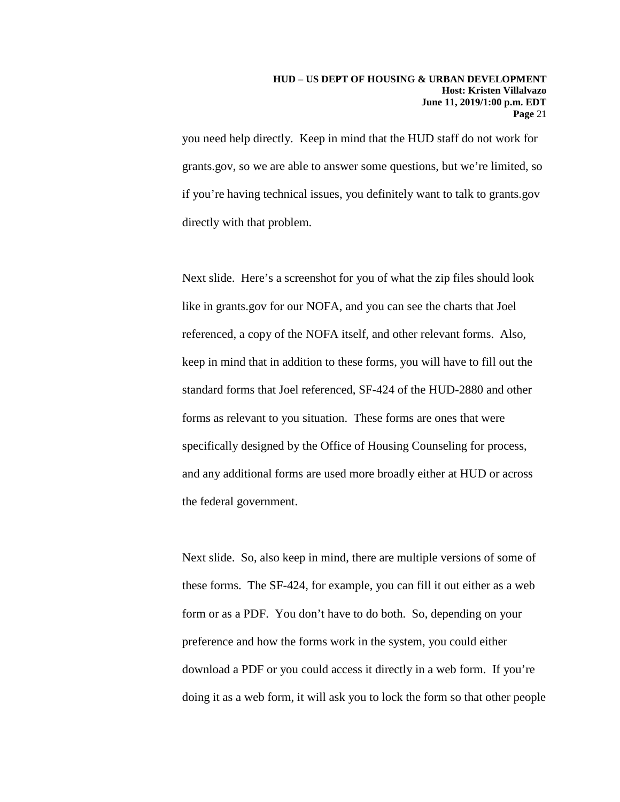you need help directly. Keep in mind that the HUD staff do not work for grants.gov, so we are able to answer some questions, but we're limited, so if you're having technical issues, you definitely want to talk to grants.gov directly with that problem.

Next slide. Here's a screenshot for you of what the zip files should look like in grants.gov for our NOFA, and you can see the charts that Joel referenced, a copy of the NOFA itself, and other relevant forms. Also, keep in mind that in addition to these forms, you will have to fill out the standard forms that Joel referenced, SF-424 of the HUD-2880 and other forms as relevant to you situation. These forms are ones that were specifically designed by the Office of Housing Counseling for process, and any additional forms are used more broadly either at HUD or across the federal government.

Next slide. So, also keep in mind, there are multiple versions of some of these forms. The SF-424, for example, you can fill it out either as a web form or as a PDF. You don't have to do both. So, depending on your preference and how the forms work in the system, you could either download a PDF or you could access it directly in a web form. If you're doing it as a web form, it will ask you to lock the form so that other people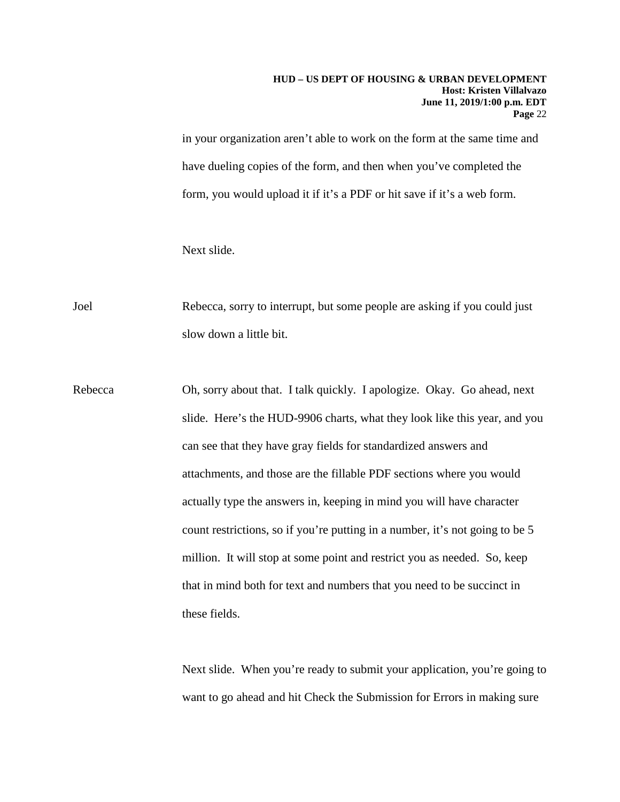#### **HUD – US DEPT OF HOUSING & URBAN DEVELOPMENT Host: Kristen Villalvazo June 11, 2019/1:00 p.m. EDT Page** 22

in your organization aren't able to work on the form at the same time and have dueling copies of the form, and then when you've completed the form, you would upload it if it's a PDF or hit save if it's a web form.

Next slide.

Joel Rebecca, sorry to interrupt, but some people are asking if you could just slow down a little bit.

Rebecca Oh, sorry about that. I talk quickly. I apologize. Okay. Go ahead, next slide. Here's the HUD-9906 charts, what they look like this year, and you can see that they have gray fields for standardized answers and attachments, and those are the fillable PDF sections where you would actually type the answers in, keeping in mind you will have character count restrictions, so if you're putting in a number, it's not going to be 5 million. It will stop at some point and restrict you as needed. So, keep that in mind both for text and numbers that you need to be succinct in these fields.

> Next slide. When you're ready to submit your application, you're going to want to go ahead and hit Check the Submission for Errors in making sure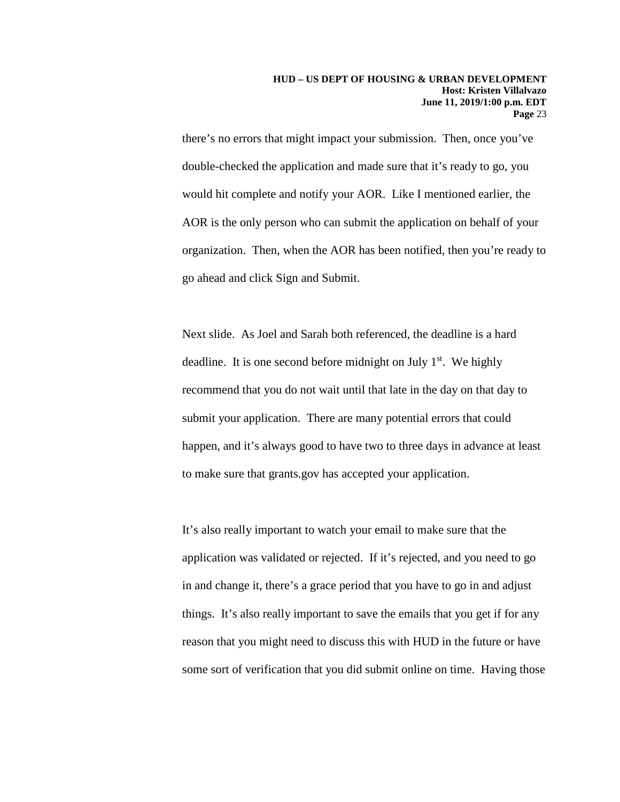there's no errors that might impact your submission. Then, once you've double-checked the application and made sure that it's ready to go, you would hit complete and notify your AOR. Like I mentioned earlier, the AOR is the only person who can submit the application on behalf of your organization. Then, when the AOR has been notified, then you're ready to go ahead and click Sign and Submit.

Next slide. As Joel and Sarah both referenced, the deadline is a hard deadline. It is one second before midnight on July  $1<sup>st</sup>$ . We highly recommend that you do not wait until that late in the day on that day to submit your application. There are many potential errors that could happen, and it's always good to have two to three days in advance at least to make sure that grants.gov has accepted your application.

It's also really important to watch your email to make sure that the application was validated or rejected. If it's rejected, and you need to go in and change it, there's a grace period that you have to go in and adjust things. It's also really important to save the emails that you get if for any reason that you might need to discuss this with HUD in the future or have some sort of verification that you did submit online on time. Having those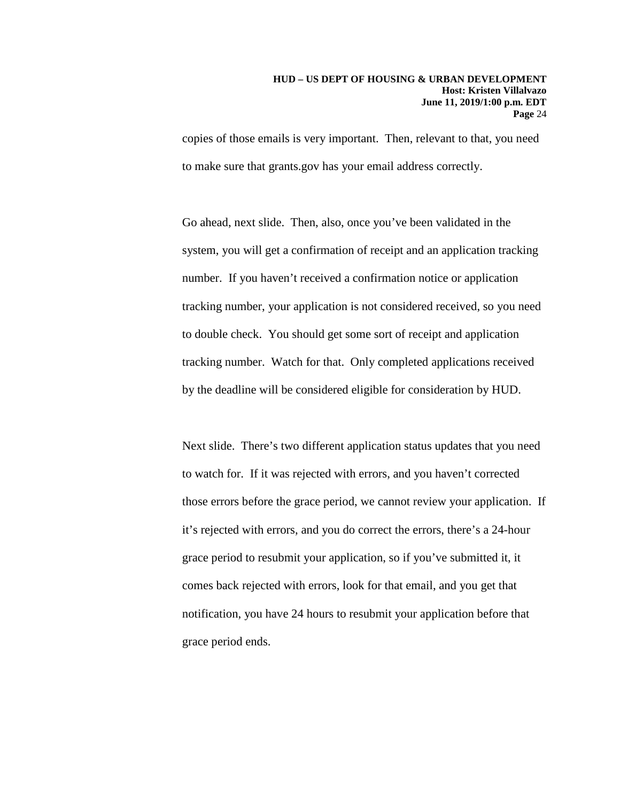copies of those emails is very important. Then, relevant to that, you need to make sure that grants.gov has your email address correctly.

Go ahead, next slide. Then, also, once you've been validated in the system, you will get a confirmation of receipt and an application tracking number. If you haven't received a confirmation notice or application tracking number, your application is not considered received, so you need to double check. You should get some sort of receipt and application tracking number. Watch for that. Only completed applications received by the deadline will be considered eligible for consideration by HUD.

Next slide. There's two different application status updates that you need to watch for. If it was rejected with errors, and you haven't corrected those errors before the grace period, we cannot review your application. If it's rejected with errors, and you do correct the errors, there's a 24-hour grace period to resubmit your application, so if you've submitted it, it comes back rejected with errors, look for that email, and you get that notification, you have 24 hours to resubmit your application before that grace period ends.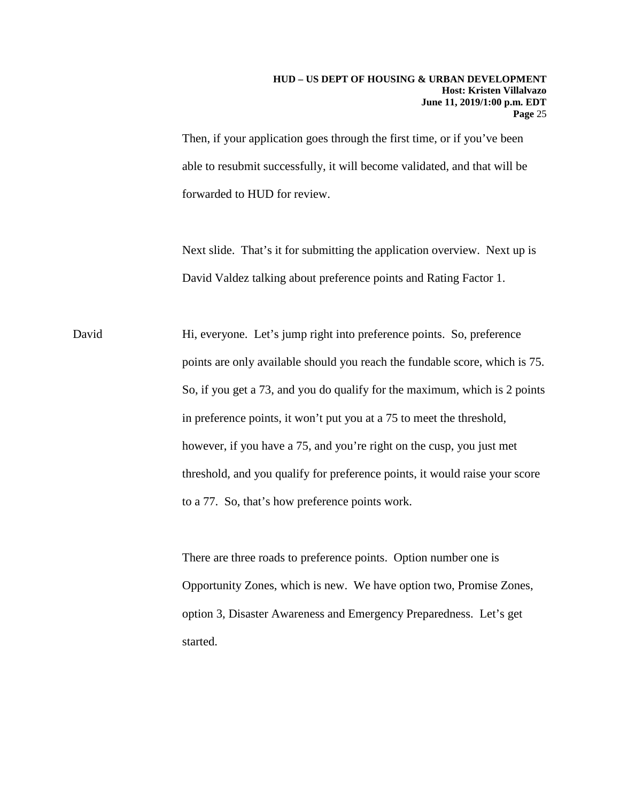#### **HUD – US DEPT OF HOUSING & URBAN DEVELOPMENT Host: Kristen Villalvazo June 11, 2019/1:00 p.m. EDT Page** 25

Then, if your application goes through the first time, or if you've been able to resubmit successfully, it will become validated, and that will be forwarded to HUD for review.

Next slide. That's it for submitting the application overview. Next up is David Valdez talking about preference points and Rating Factor 1.

David Hi, everyone. Let's jump right into preference points. So, preference points are only available should you reach the fundable score, which is 75. So, if you get a 73, and you do qualify for the maximum, which is 2 points in preference points, it won't put you at a 75 to meet the threshold, however, if you have a 75, and you're right on the cusp, you just met threshold, and you qualify for preference points, it would raise your score to a 77. So, that's how preference points work.

> There are three roads to preference points. Option number one is Opportunity Zones, which is new. We have option two, Promise Zones, option 3, Disaster Awareness and Emergency Preparedness. Let's get started.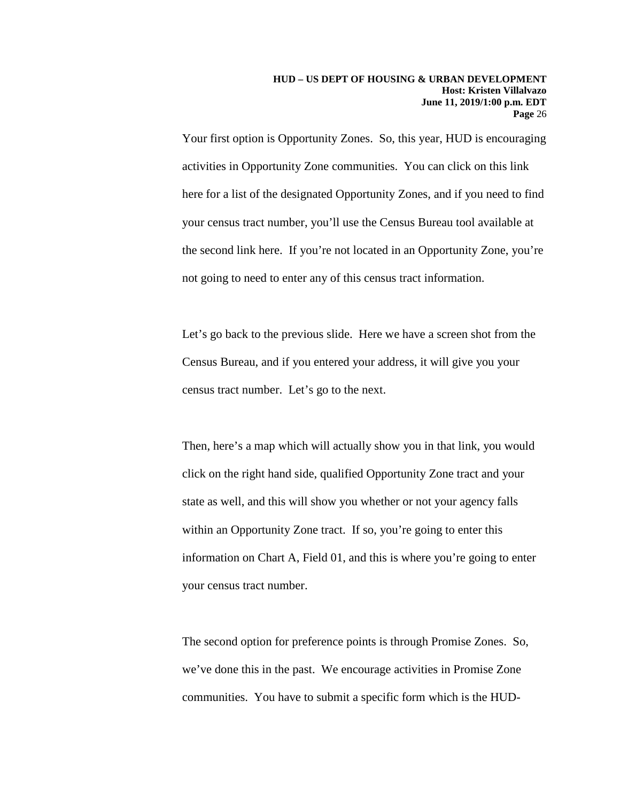Your first option is Opportunity Zones. So, this year, HUD is encouraging activities in Opportunity Zone communities. You can click on this link here for a list of the designated Opportunity Zones, and if you need to find your census tract number, you'll use the Census Bureau tool available at the second link here. If you're not located in an Opportunity Zone, you're not going to need to enter any of this census tract information.

Let's go back to the previous slide. Here we have a screen shot from the Census Bureau, and if you entered your address, it will give you your census tract number. Let's go to the next.

Then, here's a map which will actually show you in that link, you would click on the right hand side, qualified Opportunity Zone tract and your state as well, and this will show you whether or not your agency falls within an Opportunity Zone tract. If so, you're going to enter this information on Chart A, Field 01, and this is where you're going to enter your census tract number.

The second option for preference points is through Promise Zones. So, we've done this in the past. We encourage activities in Promise Zone communities. You have to submit a specific form which is the HUD-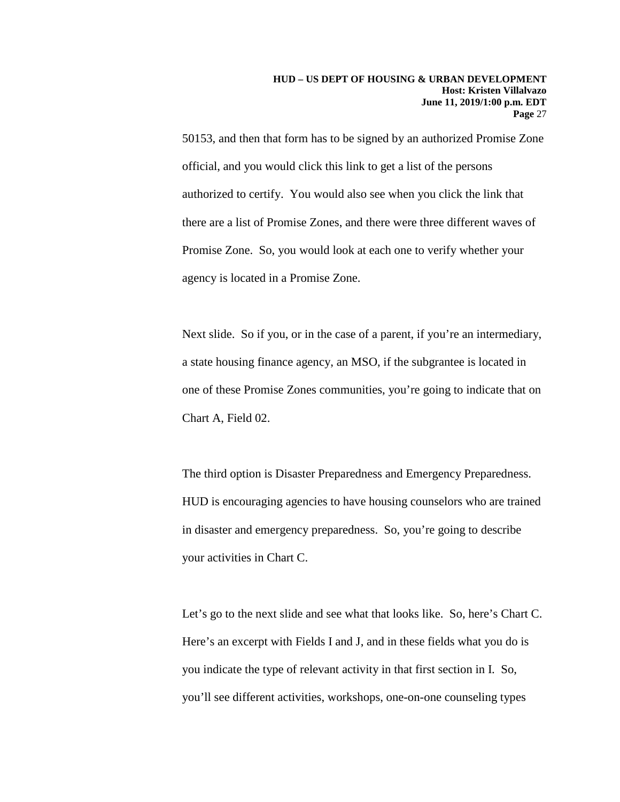50153, and then that form has to be signed by an authorized Promise Zone official, and you would click this link to get a list of the persons authorized to certify. You would also see when you click the link that there are a list of Promise Zones, and there were three different waves of Promise Zone. So, you would look at each one to verify whether your agency is located in a Promise Zone.

Next slide. So if you, or in the case of a parent, if you're an intermediary, a state housing finance agency, an MSO, if the subgrantee is located in one of these Promise Zones communities, you're going to indicate that on Chart A, Field 02.

The third option is Disaster Preparedness and Emergency Preparedness. HUD is encouraging agencies to have housing counselors who are trained in disaster and emergency preparedness. So, you're going to describe your activities in Chart C.

Let's go to the next slide and see what that looks like. So, here's Chart C. Here's an excerpt with Fields I and J, and in these fields what you do is you indicate the type of relevant activity in that first section in I. So, you'll see different activities, workshops, one-on-one counseling types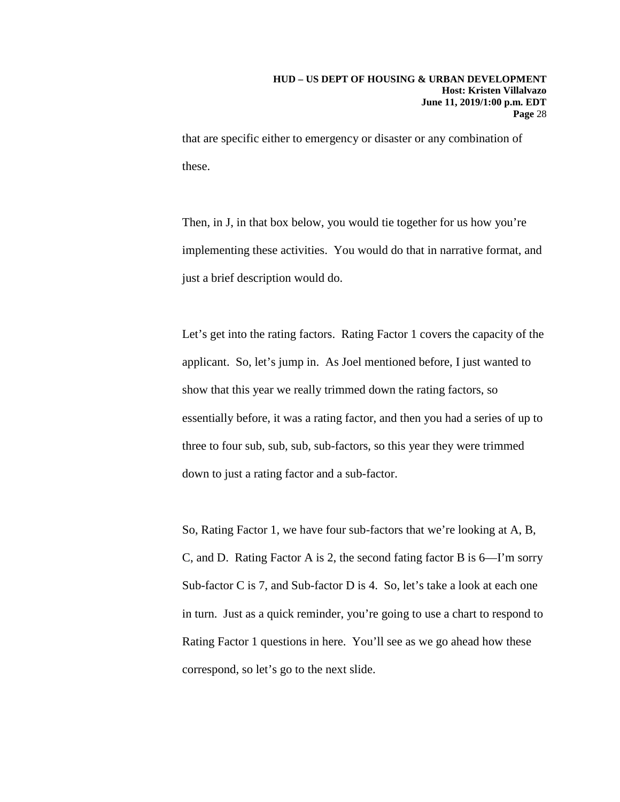that are specific either to emergency or disaster or any combination of these.

Then, in J, in that box below, you would tie together for us how you're implementing these activities. You would do that in narrative format, and just a brief description would do.

Let's get into the rating factors. Rating Factor 1 covers the capacity of the applicant. So, let's jump in. As Joel mentioned before, I just wanted to show that this year we really trimmed down the rating factors, so essentially before, it was a rating factor, and then you had a series of up to three to four sub, sub, sub, sub-factors, so this year they were trimmed down to just a rating factor and a sub-factor.

So, Rating Factor 1, we have four sub-factors that we're looking at A, B, C, and D. Rating Factor A is 2, the second fating factor B is 6—I'm sorry Sub-factor C is 7, and Sub-factor D is 4. So, let's take a look at each one in turn. Just as a quick reminder, you're going to use a chart to respond to Rating Factor 1 questions in here. You'll see as we go ahead how these correspond, so let's go to the next slide.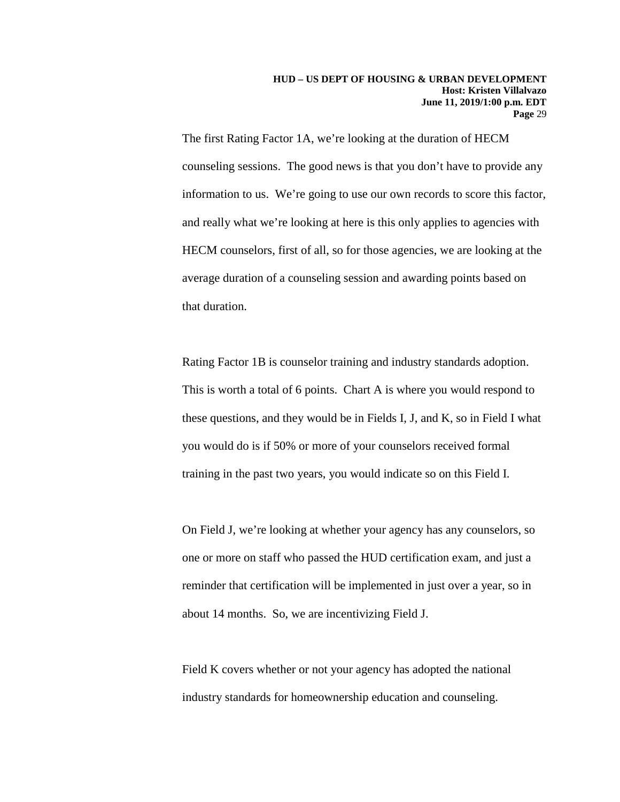The first Rating Factor 1A, we're looking at the duration of HECM counseling sessions. The good news is that you don't have to provide any information to us. We're going to use our own records to score this factor, and really what we're looking at here is this only applies to agencies with HECM counselors, first of all, so for those agencies, we are looking at the average duration of a counseling session and awarding points based on that duration.

Rating Factor 1B is counselor training and industry standards adoption. This is worth a total of 6 points. Chart A is where you would respond to these questions, and they would be in Fields I, J, and K, so in Field I what you would do is if 50% or more of your counselors received formal training in the past two years, you would indicate so on this Field I.

On Field J, we're looking at whether your agency has any counselors, so one or more on staff who passed the HUD certification exam, and just a reminder that certification will be implemented in just over a year, so in about 14 months. So, we are incentivizing Field J.

Field K covers whether or not your agency has adopted the national industry standards for homeownership education and counseling.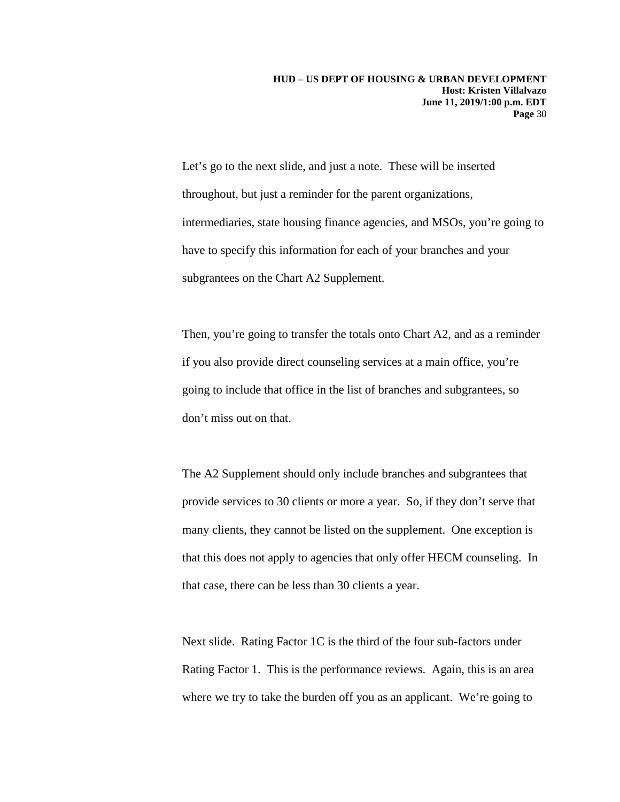Let's go to the next slide, and just a note. These will be inserted throughout, but just a reminder for the parent organizations, intermediaries, state housing finance agencies, and MSOs, you're going to have to specify this information for each of your branches and your subgrantees on the Chart A2 Supplement.

Then, you're going to transfer the totals onto Chart A2, and as a reminder if you also provide direct counseling services at a main office, you're going to include that office in the list of branches and subgrantees, so don't miss out on that.

The A2 Supplement should only include branches and subgrantees that provide services to 30 clients or more a year. So, if they don't serve that many clients, they cannot be listed on the supplement. One exception is that this does not apply to agencies that only offer HECM counseling. In that case, there can be less than 30 clients a year.

Next slide. Rating Factor 1C is the third of the four sub-factors under Rating Factor 1. This is the performance reviews. Again, this is an area where we try to take the burden off you as an applicant. We're going to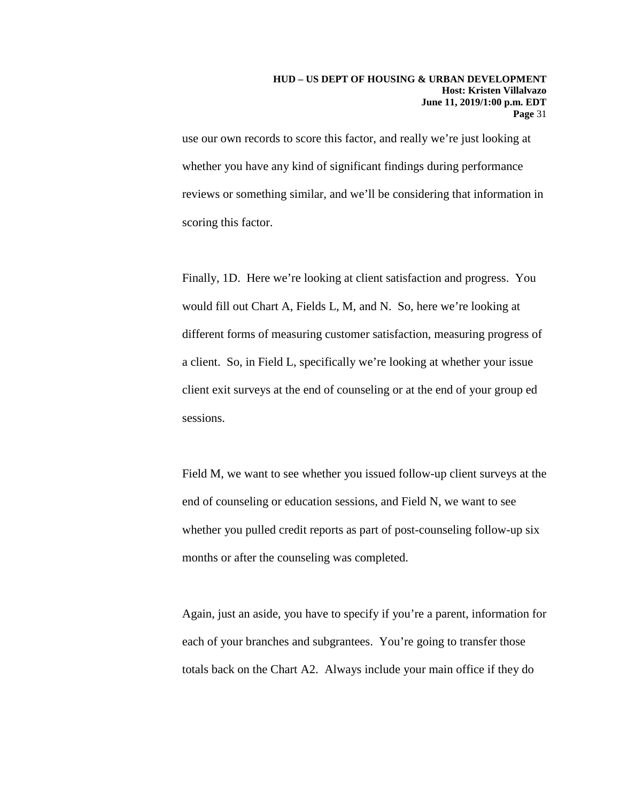use our own records to score this factor, and really we're just looking at whether you have any kind of significant findings during performance reviews or something similar, and we'll be considering that information in scoring this factor.

Finally, 1D. Here we're looking at client satisfaction and progress. You would fill out Chart A, Fields L, M, and N. So, here we're looking at different forms of measuring customer satisfaction, measuring progress of a client. So, in Field L, specifically we're looking at whether your issue client exit surveys at the end of counseling or at the end of your group ed sessions.

Field M, we want to see whether you issued follow-up client surveys at the end of counseling or education sessions, and Field N, we want to see whether you pulled credit reports as part of post-counseling follow-up six months or after the counseling was completed.

Again, just an aside, you have to specify if you're a parent, information for each of your branches and subgrantees. You're going to transfer those totals back on the Chart A2. Always include your main office if they do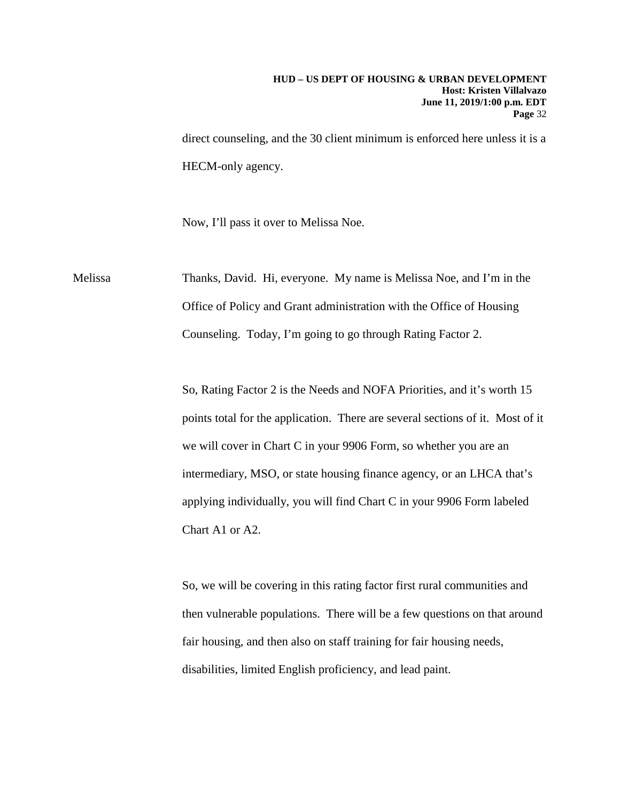direct counseling, and the 30 client minimum is enforced here unless it is a HECM-only agency.

Now, I'll pass it over to Melissa Noe.

Melissa Thanks, David. Hi, everyone. My name is Melissa Noe, and I'm in the Office of Policy and Grant administration with the Office of Housing Counseling. Today, I'm going to go through Rating Factor 2.

> So, Rating Factor 2 is the Needs and NOFA Priorities, and it's worth 15 points total for the application. There are several sections of it. Most of it we will cover in Chart C in your 9906 Form, so whether you are an intermediary, MSO, or state housing finance agency, or an LHCA that's applying individually, you will find Chart C in your 9906 Form labeled Chart A1 or A2.

> So, we will be covering in this rating factor first rural communities and then vulnerable populations. There will be a few questions on that around fair housing, and then also on staff training for fair housing needs, disabilities, limited English proficiency, and lead paint.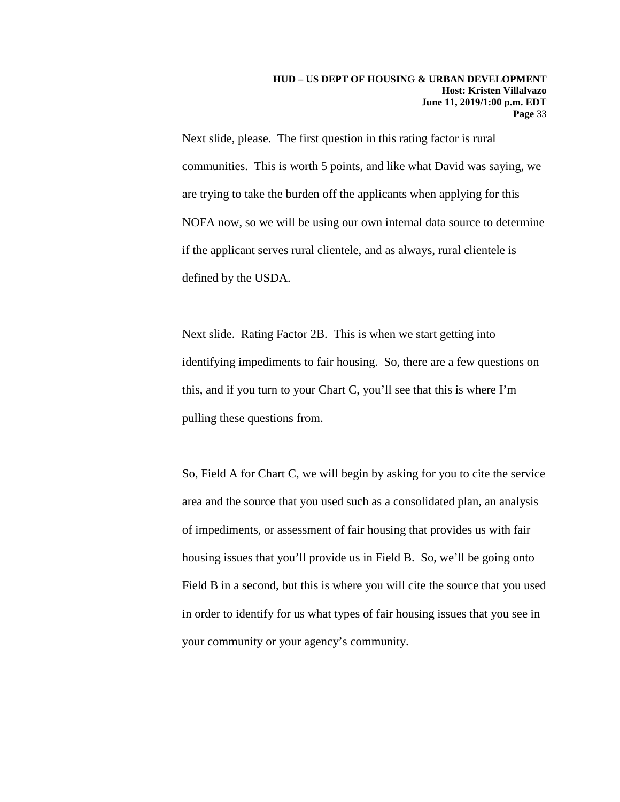Next slide, please. The first question in this rating factor is rural communities. This is worth 5 points, and like what David was saying, we are trying to take the burden off the applicants when applying for this NOFA now, so we will be using our own internal data source to determine if the applicant serves rural clientele, and as always, rural clientele is defined by the USDA.

Next slide. Rating Factor 2B. This is when we start getting into identifying impediments to fair housing. So, there are a few questions on this, and if you turn to your Chart C, you'll see that this is where I'm pulling these questions from.

So, Field A for Chart C, we will begin by asking for you to cite the service area and the source that you used such as a consolidated plan, an analysis of impediments, or assessment of fair housing that provides us with fair housing issues that you'll provide us in Field B. So, we'll be going onto Field B in a second, but this is where you will cite the source that you used in order to identify for us what types of fair housing issues that you see in your community or your agency's community.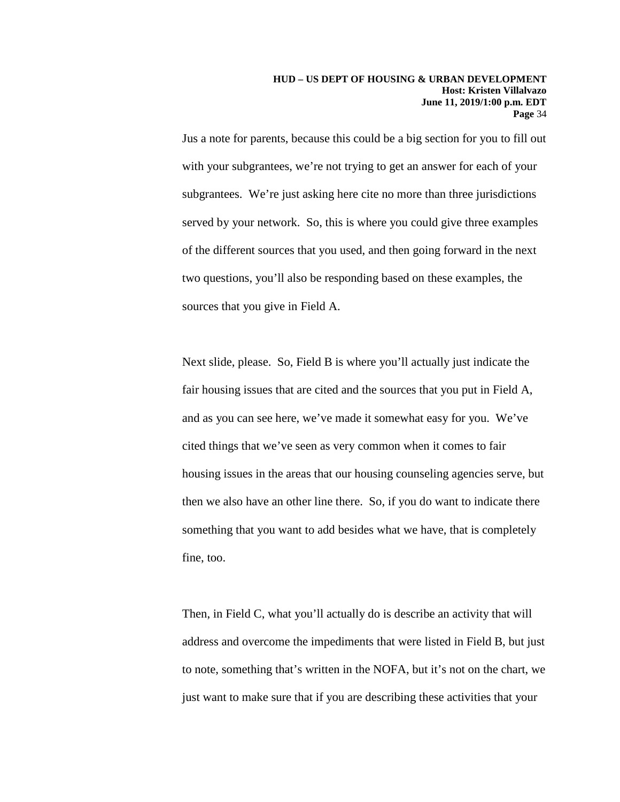Jus a note for parents, because this could be a big section for you to fill out with your subgrantees, we're not trying to get an answer for each of your subgrantees. We're just asking here cite no more than three jurisdictions served by your network. So, this is where you could give three examples of the different sources that you used, and then going forward in the next two questions, you'll also be responding based on these examples, the sources that you give in Field A.

Next slide, please. So, Field B is where you'll actually just indicate the fair housing issues that are cited and the sources that you put in Field A, and as you can see here, we've made it somewhat easy for you. We've cited things that we've seen as very common when it comes to fair housing issues in the areas that our housing counseling agencies serve, but then we also have an other line there. So, if you do want to indicate there something that you want to add besides what we have, that is completely fine, too.

Then, in Field C, what you'll actually do is describe an activity that will address and overcome the impediments that were listed in Field B, but just to note, something that's written in the NOFA, but it's not on the chart, we just want to make sure that if you are describing these activities that your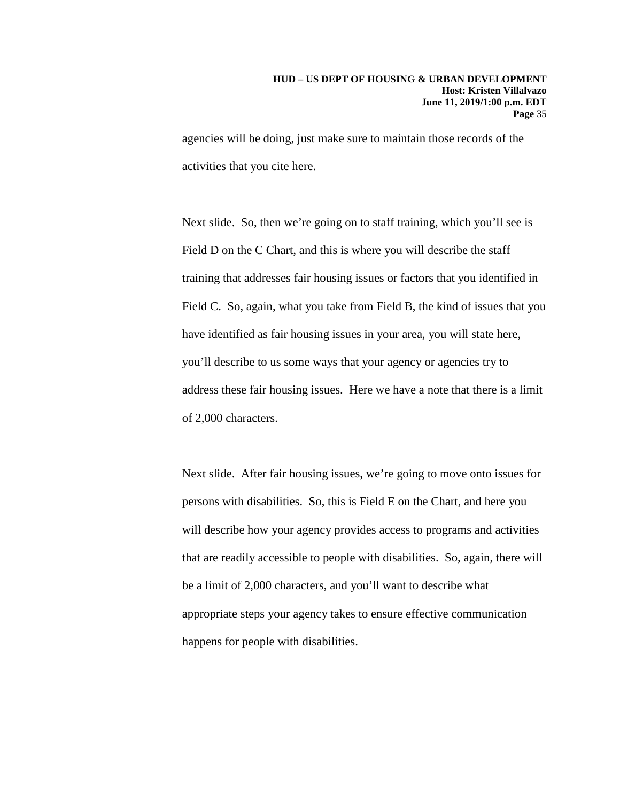agencies will be doing, just make sure to maintain those records of the activities that you cite here.

Next slide. So, then we're going on to staff training, which you'll see is Field D on the C Chart, and this is where you will describe the staff training that addresses fair housing issues or factors that you identified in Field C. So, again, what you take from Field B, the kind of issues that you have identified as fair housing issues in your area, you will state here, you'll describe to us some ways that your agency or agencies try to address these fair housing issues. Here we have a note that there is a limit of 2,000 characters.

Next slide. After fair housing issues, we're going to move onto issues for persons with disabilities. So, this is Field E on the Chart, and here you will describe how your agency provides access to programs and activities that are readily accessible to people with disabilities. So, again, there will be a limit of 2,000 characters, and you'll want to describe what appropriate steps your agency takes to ensure effective communication happens for people with disabilities.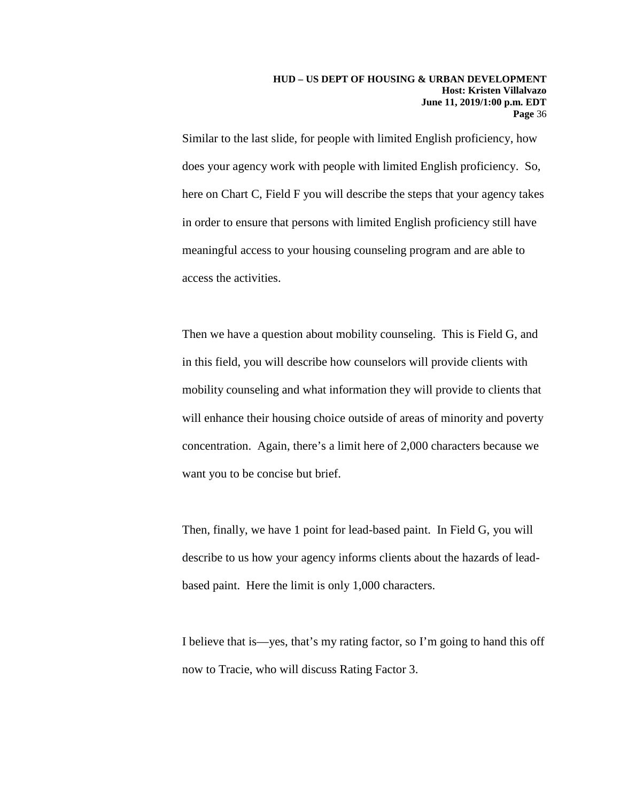Similar to the last slide, for people with limited English proficiency, how does your agency work with people with limited English proficiency. So, here on Chart C, Field F you will describe the steps that your agency takes in order to ensure that persons with limited English proficiency still have meaningful access to your housing counseling program and are able to access the activities.

Then we have a question about mobility counseling. This is Field G, and in this field, you will describe how counselors will provide clients with mobility counseling and what information they will provide to clients that will enhance their housing choice outside of areas of minority and poverty concentration. Again, there's a limit here of 2,000 characters because we want you to be concise but brief.

Then, finally, we have 1 point for lead-based paint. In Field G, you will describe to us how your agency informs clients about the hazards of leadbased paint. Here the limit is only 1,000 characters.

I believe that is—yes, that's my rating factor, so I'm going to hand this off now to Tracie, who will discuss Rating Factor 3.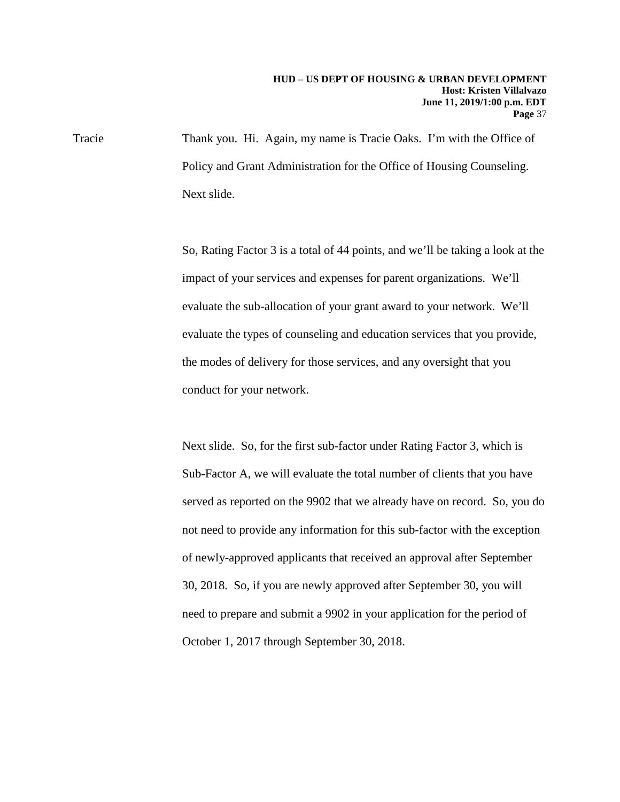Tracie Thank you. Hi. Again, my name is Tracie Oaks. I'm with the Office of Policy and Grant Administration for the Office of Housing Counseling. Next slide.

> So, Rating Factor 3 is a total of 44 points, and we'll be taking a look at the impact of your services and expenses for parent organizations. We'll evaluate the sub-allocation of your grant award to your network. We'll evaluate the types of counseling and education services that you provide, the modes of delivery for those services, and any oversight that you conduct for your network.

> Next slide. So, for the first sub-factor under Rating Factor 3, which is Sub-Factor A, we will evaluate the total number of clients that you have served as reported on the 9902 that we already have on record. So, you do not need to provide any information for this sub-factor with the exception of newly-approved applicants that received an approval after September 30, 2018. So, if you are newly approved after September 30, you will need to prepare and submit a 9902 in your application for the period of October 1, 2017 through September 30, 2018.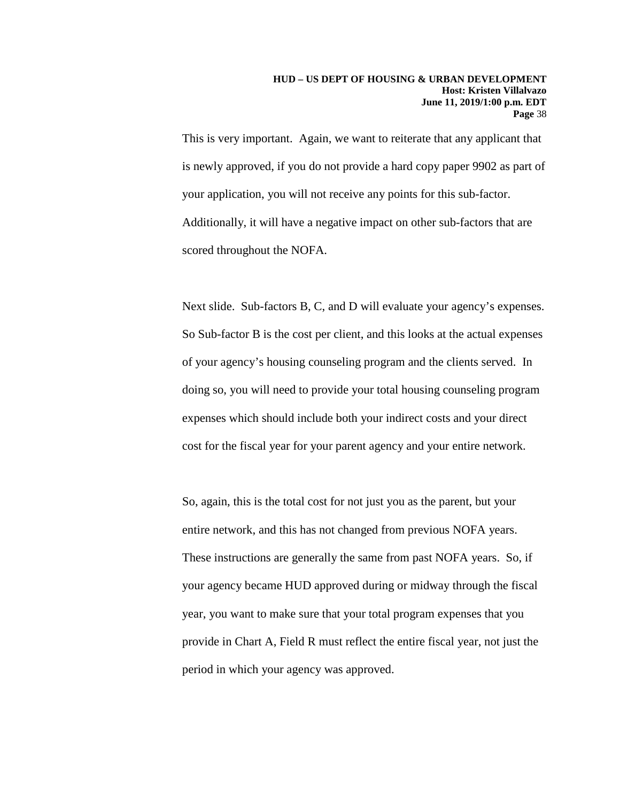This is very important. Again, we want to reiterate that any applicant that is newly approved, if you do not provide a hard copy paper 9902 as part of your application, you will not receive any points for this sub-factor. Additionally, it will have a negative impact on other sub-factors that are scored throughout the NOFA.

Next slide. Sub-factors B, C, and D will evaluate your agency's expenses. So Sub-factor B is the cost per client, and this looks at the actual expenses of your agency's housing counseling program and the clients served. In doing so, you will need to provide your total housing counseling program expenses which should include both your indirect costs and your direct cost for the fiscal year for your parent agency and your entire network.

So, again, this is the total cost for not just you as the parent, but your entire network, and this has not changed from previous NOFA years. These instructions are generally the same from past NOFA years. So, if your agency became HUD approved during or midway through the fiscal year, you want to make sure that your total program expenses that you provide in Chart A, Field R must reflect the entire fiscal year, not just the period in which your agency was approved.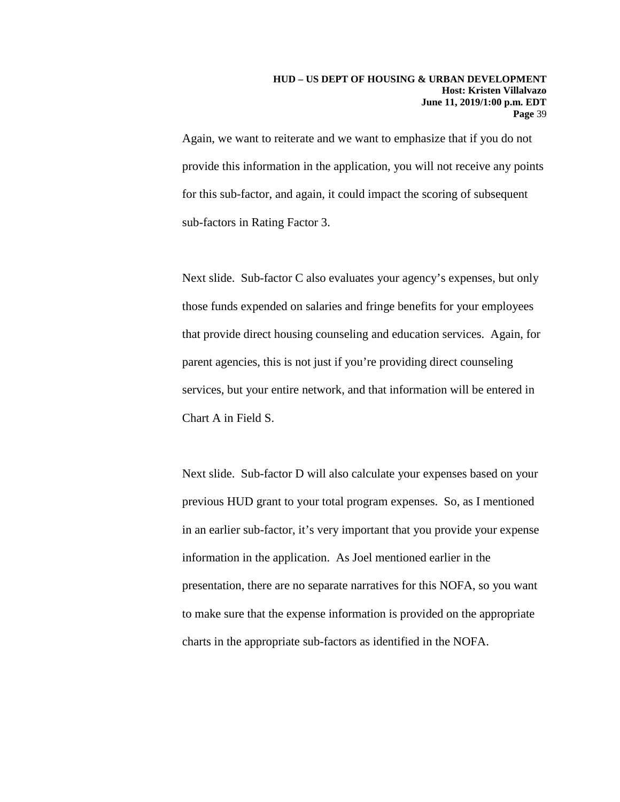#### **HUD – US DEPT OF HOUSING & URBAN DEVELOPMENT Host: Kristen Villalvazo June 11, 2019/1:00 p.m. EDT Page** 39

Again, we want to reiterate and we want to emphasize that if you do not provide this information in the application, you will not receive any points for this sub-factor, and again, it could impact the scoring of subsequent sub-factors in Rating Factor 3.

Next slide. Sub-factor C also evaluates your agency's expenses, but only those funds expended on salaries and fringe benefits for your employees that provide direct housing counseling and education services. Again, for parent agencies, this is not just if you're providing direct counseling services, but your entire network, and that information will be entered in Chart A in Field S.

Next slide. Sub-factor D will also calculate your expenses based on your previous HUD grant to your total program expenses. So, as I mentioned in an earlier sub-factor, it's very important that you provide your expense information in the application. As Joel mentioned earlier in the presentation, there are no separate narratives for this NOFA, so you want to make sure that the expense information is provided on the appropriate charts in the appropriate sub-factors as identified in the NOFA.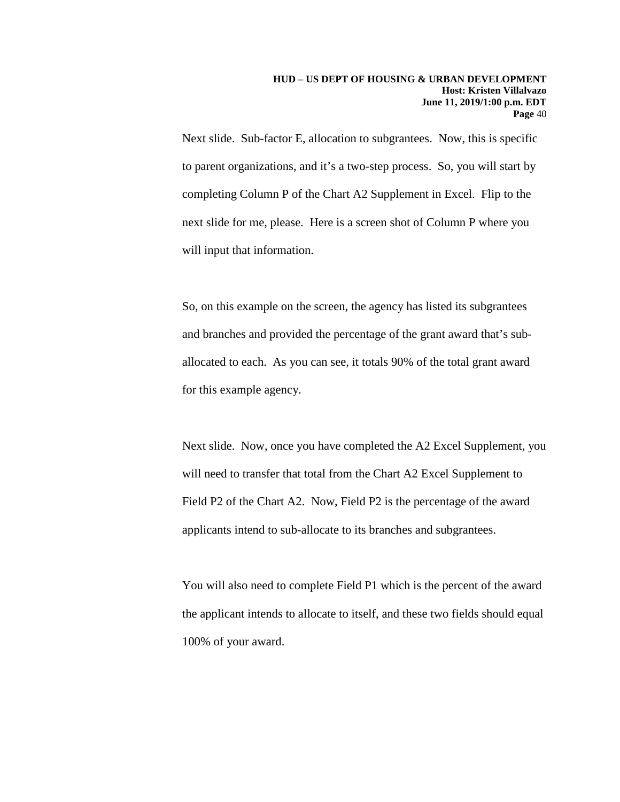Next slide. Sub-factor E, allocation to subgrantees. Now, this is specific to parent organizations, and it's a two-step process. So, you will start by completing Column P of the Chart A2 Supplement in Excel. Flip to the next slide for me, please. Here is a screen shot of Column P where you will input that information.

So, on this example on the screen, the agency has listed its subgrantees and branches and provided the percentage of the grant award that's suballocated to each. As you can see, it totals 90% of the total grant award for this example agency.

Next slide. Now, once you have completed the A2 Excel Supplement, you will need to transfer that total from the Chart A2 Excel Supplement to Field P2 of the Chart A2. Now, Field P2 is the percentage of the award applicants intend to sub-allocate to its branches and subgrantees.

You will also need to complete Field P1 which is the percent of the award the applicant intends to allocate to itself, and these two fields should equal 100% of your award.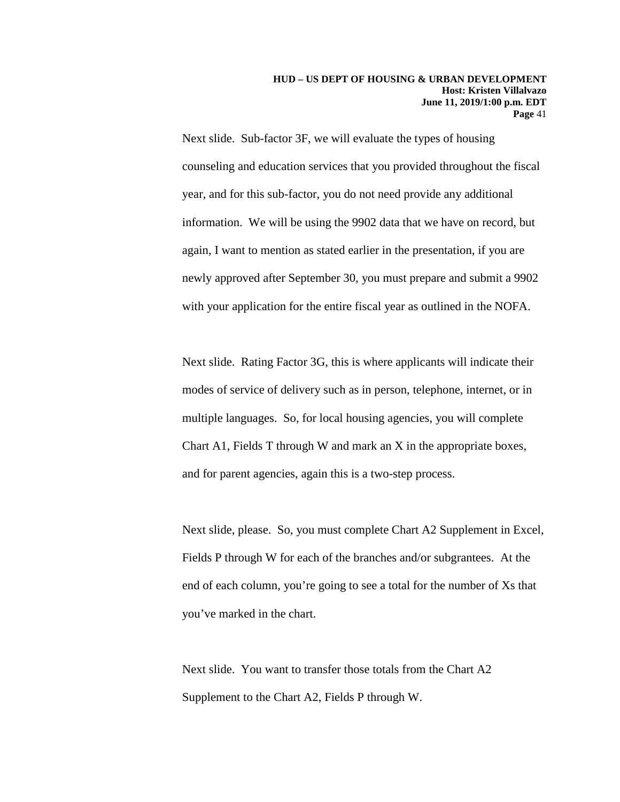Next slide. Sub-factor 3F, we will evaluate the types of housing counseling and education services that you provided throughout the fiscal year, and for this sub-factor, you do not need provide any additional information. We will be using the 9902 data that we have on record, but again, I want to mention as stated earlier in the presentation, if you are newly approved after September 30, you must prepare and submit a 9902 with your application for the entire fiscal year as outlined in the NOFA.

Next slide. Rating Factor 3G, this is where applicants will indicate their modes of service of delivery such as in person, telephone, internet, or in multiple languages. So, for local housing agencies, you will complete Chart A1, Fields T through W and mark an X in the appropriate boxes, and for parent agencies, again this is a two-step process.

Next slide, please. So, you must complete Chart A2 Supplement in Excel, Fields P through W for each of the branches and/or subgrantees. At the end of each column, you're going to see a total for the number of Xs that you've marked in the chart.

Next slide. You want to transfer those totals from the Chart A2 Supplement to the Chart A2, Fields P through W.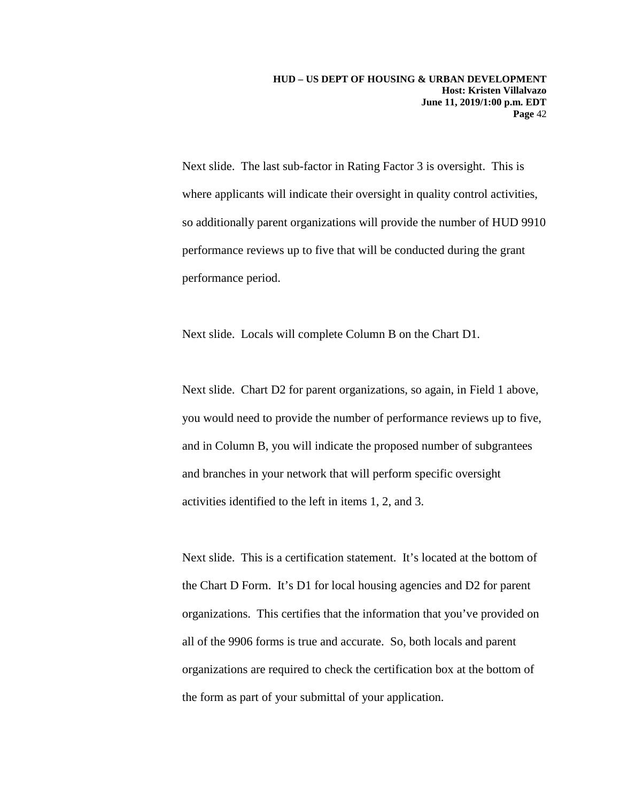Next slide. The last sub-factor in Rating Factor 3 is oversight. This is where applicants will indicate their oversight in quality control activities, so additionally parent organizations will provide the number of HUD 9910 performance reviews up to five that will be conducted during the grant performance period.

Next slide. Locals will complete Column B on the Chart D1.

Next slide. Chart D2 for parent organizations, so again, in Field 1 above, you would need to provide the number of performance reviews up to five, and in Column B, you will indicate the proposed number of subgrantees and branches in your network that will perform specific oversight activities identified to the left in items 1, 2, and 3.

Next slide. This is a certification statement. It's located at the bottom of the Chart D Form. It's D1 for local housing agencies and D2 for parent organizations. This certifies that the information that you've provided on all of the 9906 forms is true and accurate. So, both locals and parent organizations are required to check the certification box at the bottom of the form as part of your submittal of your application.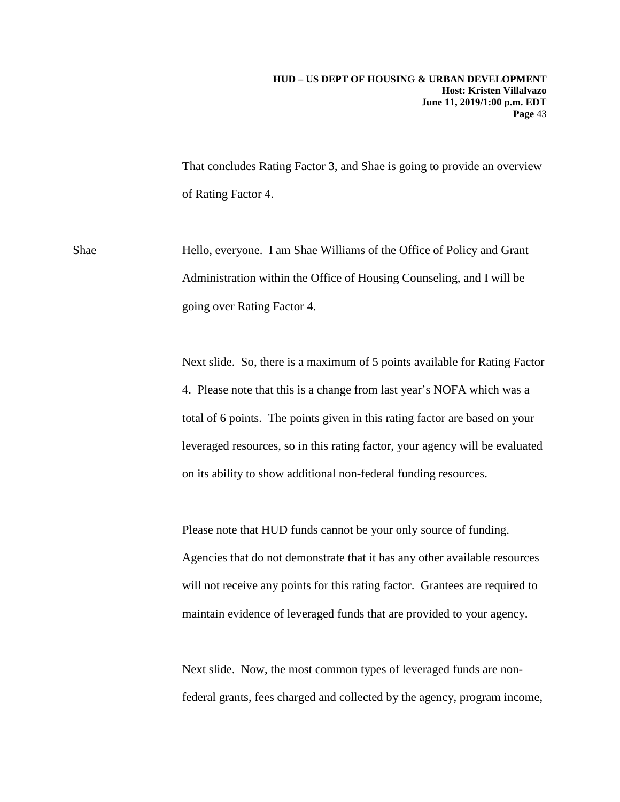That concludes Rating Factor 3, and Shae is going to provide an overview of Rating Factor 4.

Shae Hello, everyone. I am Shae Williams of the Office of Policy and Grant Administration within the Office of Housing Counseling, and I will be going over Rating Factor 4.

> Next slide. So, there is a maximum of 5 points available for Rating Factor 4. Please note that this is a change from last year's NOFA which was a total of 6 points. The points given in this rating factor are based on your leveraged resources, so in this rating factor, your agency will be evaluated on its ability to show additional non-federal funding resources.

Please note that HUD funds cannot be your only source of funding. Agencies that do not demonstrate that it has any other available resources will not receive any points for this rating factor. Grantees are required to maintain evidence of leveraged funds that are provided to your agency.

Next slide. Now, the most common types of leveraged funds are nonfederal grants, fees charged and collected by the agency, program income,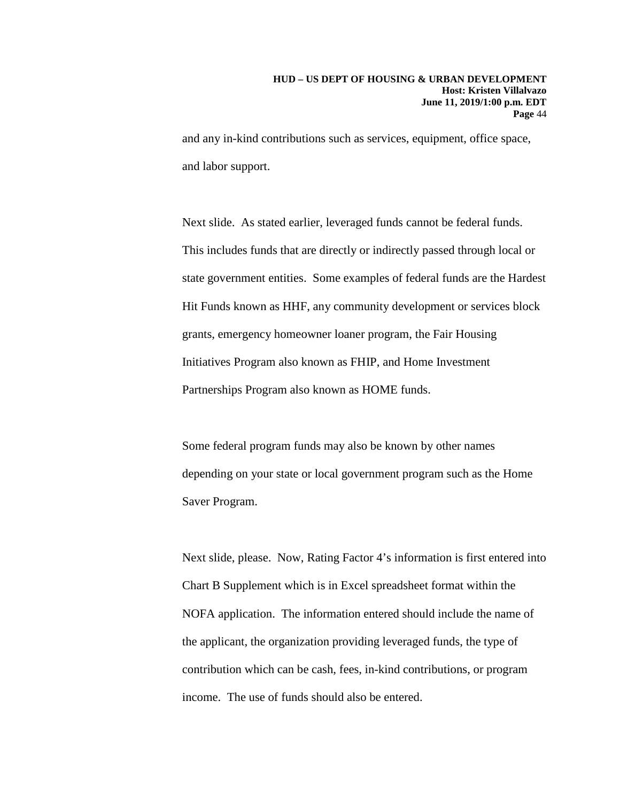and any in-kind contributions such as services, equipment, office space, and labor support.

Next slide. As stated earlier, leveraged funds cannot be federal funds. This includes funds that are directly or indirectly passed through local or state government entities. Some examples of federal funds are the Hardest Hit Funds known as HHF, any community development or services block grants, emergency homeowner loaner program, the Fair Housing Initiatives Program also known as FHIP, and Home Investment Partnerships Program also known as HOME funds.

Some federal program funds may also be known by other names depending on your state or local government program such as the Home Saver Program.

Next slide, please. Now, Rating Factor 4's information is first entered into Chart B Supplement which is in Excel spreadsheet format within the NOFA application. The information entered should include the name of the applicant, the organization providing leveraged funds, the type of contribution which can be cash, fees, in-kind contributions, or program income. The use of funds should also be entered.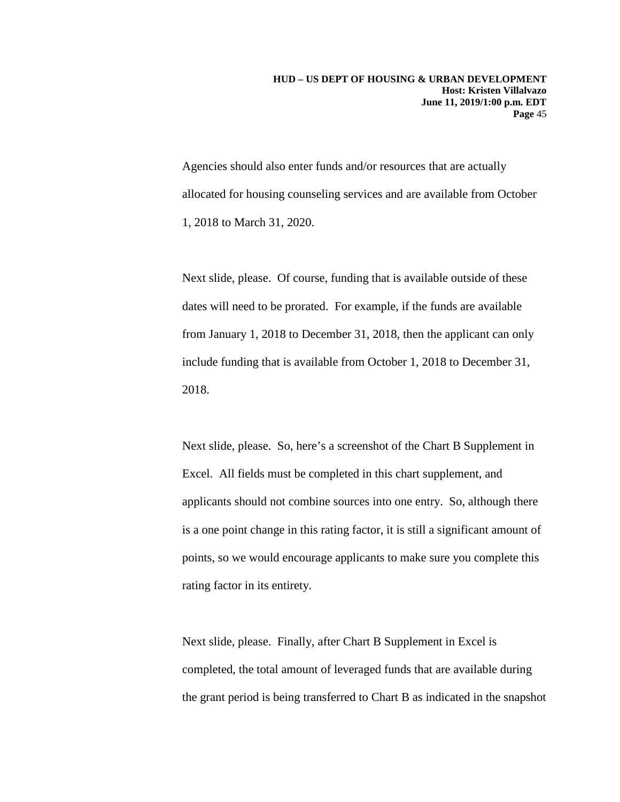Agencies should also enter funds and/or resources that are actually allocated for housing counseling services and are available from October 1, 2018 to March 31, 2020.

Next slide, please. Of course, funding that is available outside of these dates will need to be prorated. For example, if the funds are available from January 1, 2018 to December 31, 2018, then the applicant can only include funding that is available from October 1, 2018 to December 31, 2018.

Next slide, please. So, here's a screenshot of the Chart B Supplement in Excel. All fields must be completed in this chart supplement, and applicants should not combine sources into one entry. So, although there is a one point change in this rating factor, it is still a significant amount of points, so we would encourage applicants to make sure you complete this rating factor in its entirety.

Next slide, please. Finally, after Chart B Supplement in Excel is completed, the total amount of leveraged funds that are available during the grant period is being transferred to Chart B as indicated in the snapshot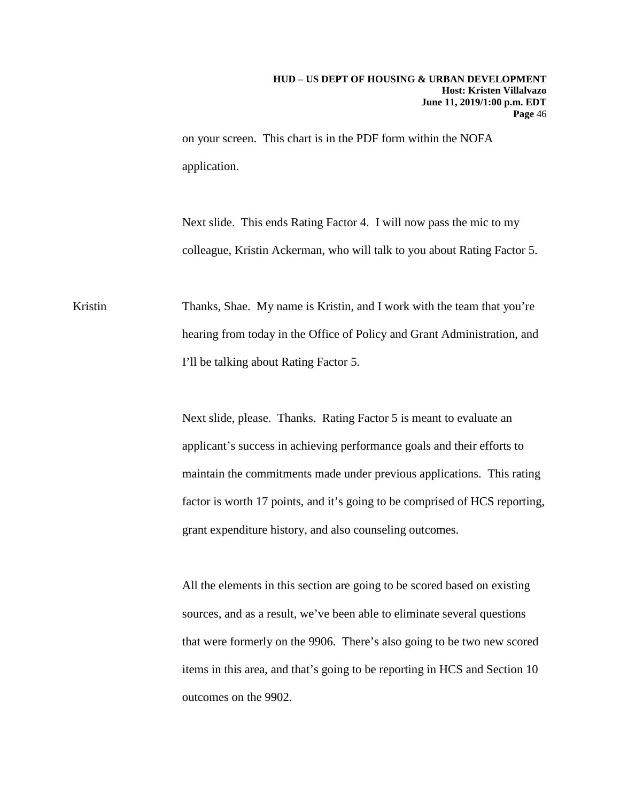on your screen. This chart is in the PDF form within the NOFA application.

Next slide. This ends Rating Factor 4. I will now pass the mic to my colleague, Kristin Ackerman, who will talk to you about Rating Factor 5.

Kristin Thanks, Shae. My name is Kristin, and I work with the team that you're hearing from today in the Office of Policy and Grant Administration, and I'll be talking about Rating Factor 5.

> Next slide, please. Thanks. Rating Factor 5 is meant to evaluate an applicant's success in achieving performance goals and their efforts to maintain the commitments made under previous applications. This rating factor is worth 17 points, and it's going to be comprised of HCS reporting, grant expenditure history, and also counseling outcomes.

All the elements in this section are going to be scored based on existing sources, and as a result, we've been able to eliminate several questions that were formerly on the 9906. There's also going to be two new scored items in this area, and that's going to be reporting in HCS and Section 10 outcomes on the 9902.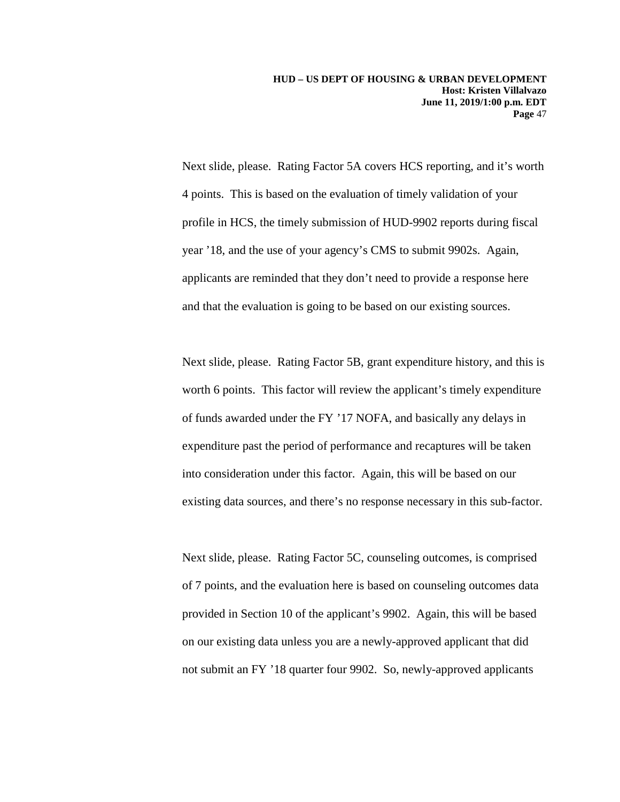Next slide, please. Rating Factor 5A covers HCS reporting, and it's worth 4 points. This is based on the evaluation of timely validation of your profile in HCS, the timely submission of HUD-9902 reports during fiscal year '18, and the use of your agency's CMS to submit 9902s. Again, applicants are reminded that they don't need to provide a response here and that the evaluation is going to be based on our existing sources.

Next slide, please. Rating Factor 5B, grant expenditure history, and this is worth 6 points. This factor will review the applicant's timely expenditure of funds awarded under the FY '17 NOFA, and basically any delays in expenditure past the period of performance and recaptures will be taken into consideration under this factor. Again, this will be based on our existing data sources, and there's no response necessary in this sub-factor.

Next slide, please. Rating Factor 5C, counseling outcomes, is comprised of 7 points, and the evaluation here is based on counseling outcomes data provided in Section 10 of the applicant's 9902. Again, this will be based on our existing data unless you are a newly-approved applicant that did not submit an FY '18 quarter four 9902. So, newly-approved applicants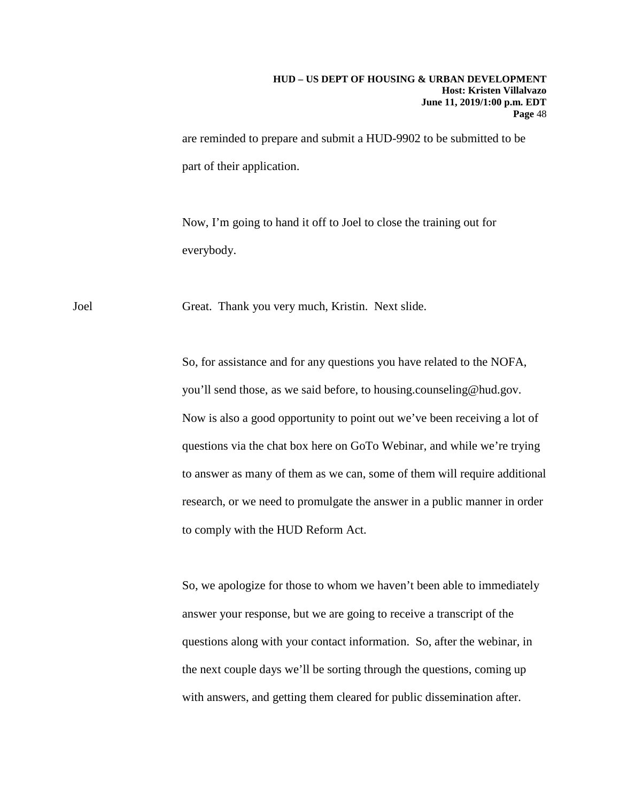#### **HUD – US DEPT OF HOUSING & URBAN DEVELOPMENT Host: Kristen Villalvazo June 11, 2019/1:00 p.m. EDT Page** 48

are reminded to prepare and submit a HUD-9902 to be submitted to be part of their application.

Now, I'm going to hand it off to Joel to close the training out for everybody.

Joel Great. Thank you very much, Kristin. Next slide.

So, for assistance and for any questions you have related to the NOFA, you'll send those, as we said before, to housing.counseling@hud.gov. Now is also a good opportunity to point out we've been receiving a lot of questions via the chat box here on GoTo Webinar, and while we're trying to answer as many of them as we can, some of them will require additional research, or we need to promulgate the answer in a public manner in order to comply with the HUD Reform Act.

So, we apologize for those to whom we haven't been able to immediately answer your response, but we are going to receive a transcript of the questions along with your contact information. So, after the webinar, in the next couple days we'll be sorting through the questions, coming up with answers, and getting them cleared for public dissemination after.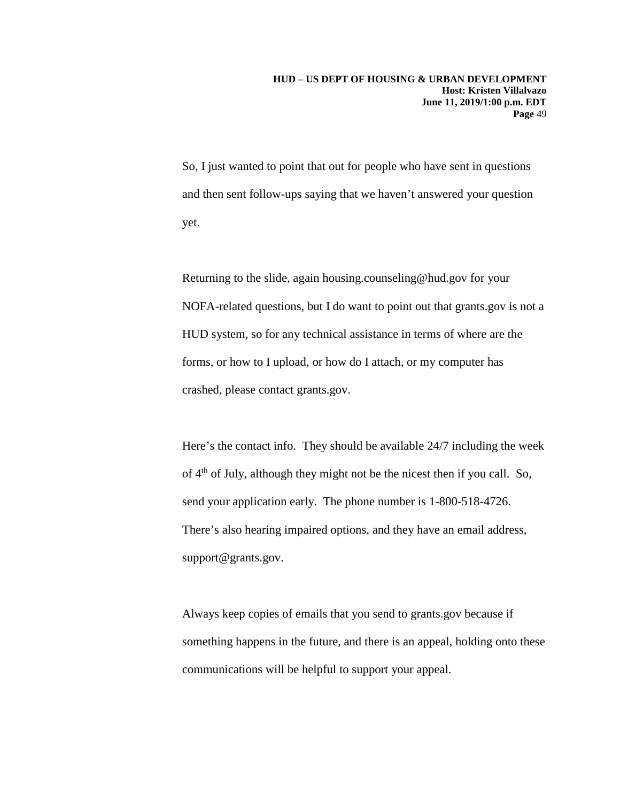So, I just wanted to point that out for people who have sent in questions and then sent follow-ups saying that we haven't answered your question yet.

Returning to the slide, again housing.counseling@hud.gov for your NOFA-related questions, but I do want to point out that grants.gov is not a HUD system, so for any technical assistance in terms of where are the forms, or how to I upload, or how do I attach, or my computer has crashed, please contact grants.gov.

Here's the contact info. They should be available 24/7 including the week of 4th of July, although they might not be the nicest then if you call. So, send your application early. The phone number is 1-800-518-4726. There's also hearing impaired options, and they have an email address, support@grants.gov.

Always keep copies of emails that you send to grants.gov because if something happens in the future, and there is an appeal, holding onto these communications will be helpful to support your appeal.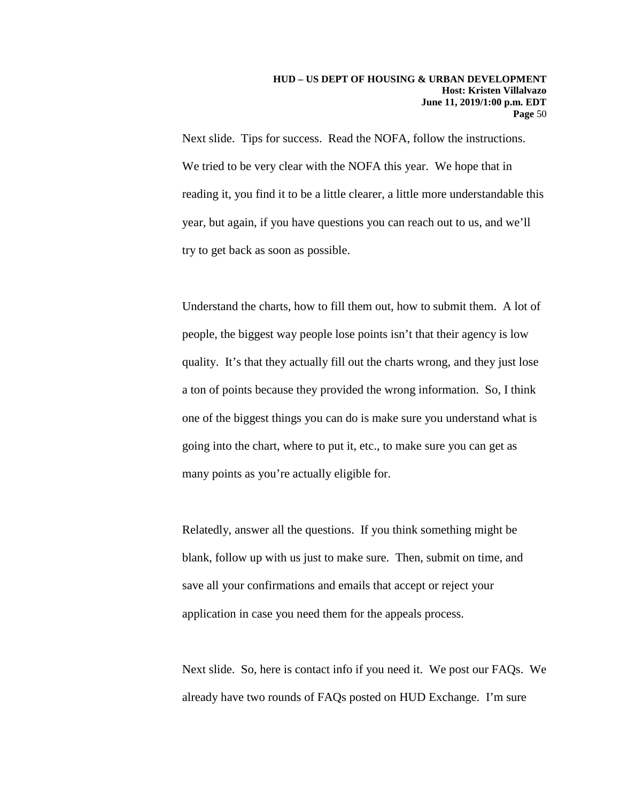Next slide. Tips for success. Read the NOFA, follow the instructions. We tried to be very clear with the NOFA this year. We hope that in reading it, you find it to be a little clearer, a little more understandable this year, but again, if you have questions you can reach out to us, and we'll try to get back as soon as possible.

Understand the charts, how to fill them out, how to submit them. A lot of people, the biggest way people lose points isn't that their agency is low quality. It's that they actually fill out the charts wrong, and they just lose a ton of points because they provided the wrong information. So, I think one of the biggest things you can do is make sure you understand what is going into the chart, where to put it, etc., to make sure you can get as many points as you're actually eligible for.

Relatedly, answer all the questions. If you think something might be blank, follow up with us just to make sure. Then, submit on time, and save all your confirmations and emails that accept or reject your application in case you need them for the appeals process.

Next slide. So, here is contact info if you need it. We post our FAQs. We already have two rounds of FAQs posted on HUD Exchange. I'm sure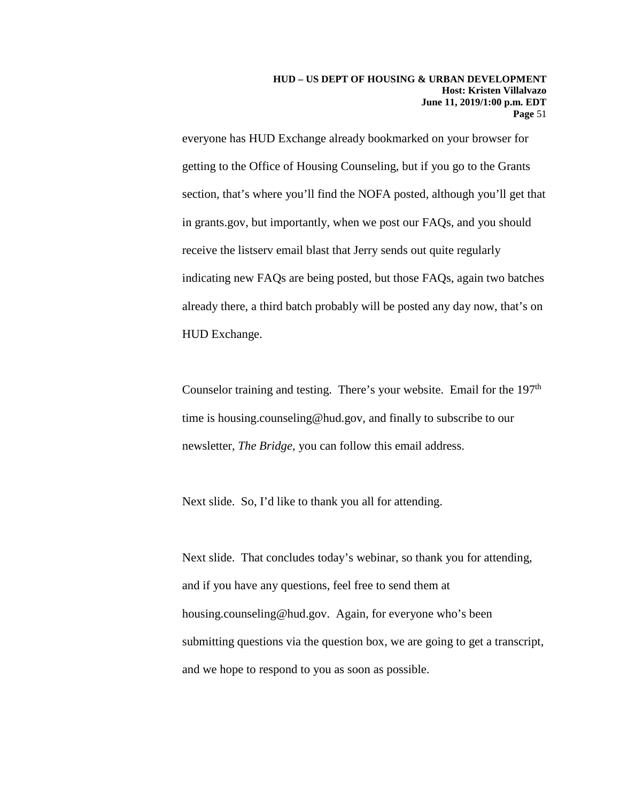everyone has HUD Exchange already bookmarked on your browser for getting to the Office of Housing Counseling, but if you go to the Grants section, that's where you'll find the NOFA posted, although you'll get that in grants.gov, but importantly, when we post our FAQs, and you should receive the listserv email blast that Jerry sends out quite regularly indicating new FAQs are being posted, but those FAQs, again two batches already there, a third batch probably will be posted any day now, that's on HUD Exchange.

Counselor training and testing. There's your website. Email for the 197<sup>th</sup> time is housing.counseling@hud.gov, and finally to subscribe to our newsletter, *The Bridge*, you can follow this email address.

Next slide. So, I'd like to thank you all for attending.

Next slide. That concludes today's webinar, so thank you for attending, and if you have any questions, feel free to send them at housing.counseling@hud.gov. Again, for everyone who's been submitting questions via the question box, we are going to get a transcript, and we hope to respond to you as soon as possible.